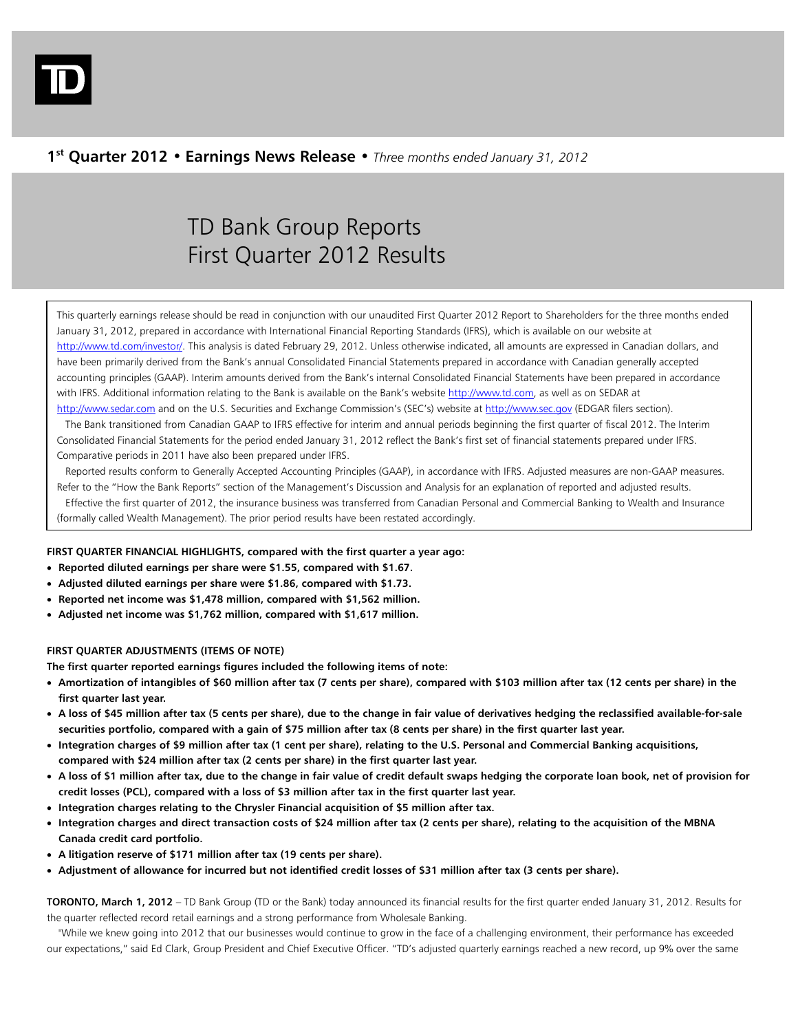

# **1st Quarter 2012 • Earnings News Release •** *Three months ended January 31, 2012*

# TD Bank Group Reports First Quarter 2012 Results

This quarterly earnings release should be read in conjunction with our unaudited First Quarter 2012 Report to Shareholders for the three months ended January 31, 2012, prepared in accordance with International Financial Reporting Standards (IFRS), which is available on our website at http://www.td.com/investor/. This analysis is dated February 29, 2012. Unless otherwise indicated, all amounts are expressed in Canadian dollars, and have been primarily derived from the Bank's annual Consolidated Financial Statements prepared in accordance with Canadian generally accepted accounting principles (GAAP). Interim amounts derived from the Bank's internal Consolidated Financial Statements have been prepared in accordance with IFRS. Additional information relating to the Bank is available on the Bank's website http://www.td.com, as well as on SEDAR at

http://www.sedar.com and on the U.S. Securities and Exchange Commission's (SEC's) website at http://www.sec.gov (EDGAR filers section). The Bank transitioned from Canadian GAAP to IFRS effective for interim and annual periods beginning the first quarter of fiscal 2012. The Interim Consolidated Financial Statements for the period ended January 31, 2012 reflect the Bank's first set of financial statements prepared under IFRS. Comparative periods in 2011 have also been prepared under IFRS.

 Reported results conform to Generally Accepted Accounting Principles (GAAP), in accordance with IFRS. Adjusted measures are non-GAAP measures. Refer to the "How the Bank Reports" section of the Management's Discussion and Analysis for an explanation of reported and adjusted results.

 Effective the first quarter of 2012, the insurance business was transferred from Canadian Personal and Commercial Banking to Wealth and Insurance (formally called Wealth Management). The prior period results have been restated accordingly.

#### **FIRST QUARTER FINANCIAL HIGHLIGHTS, compared with the first quarter a year ago:**

- **Reported diluted earnings per share were \$1.55, compared with \$1.67.**
- **Adjusted diluted earnings per share were \$1.86, compared with \$1.73.**
- **Reported net income was \$1,478 million, compared with \$1,562 million.**
- **Adjusted net income was \$1,762 million, compared with \$1,617 million.**

#### **FIRST QUARTER ADJUSTMENTS (ITEMS OF NOTE)**

**The first quarter reported earnings figures included the following items of note:** 

- **Amortization of intangibles of \$60 million after tax (7 cents per share), compared with \$103 million after tax (12 cents per share) in the first quarter last year.**
- **A loss of \$45 million after tax (5 cents per share), due to the change in fair value of derivatives hedging the reclassified available-for-sale securities portfolio, compared with a gain of \$75 million after tax (8 cents per share) in the first quarter last year.**
- **Integration charges of \$9 million after tax (1 cent per share), relating to the U.S. Personal and Commercial Banking acquisitions, compared with \$24 million after tax (2 cents per share) in the first quarter last year.**
- **A loss of \$1 million after tax, due to the change in fair value of credit default swaps hedging the corporate loan book, net of provision for credit losses (PCL), compared with a loss of \$3 million after tax in the first quarter last year.**
- **Integration charges relating to the Chrysler Financial acquisition of \$5 million after tax.**
- **Integration charges and direct transaction costs of \$24 million after tax (2 cents per share), relating to the acquisition of the MBNA Canada credit card portfolio.**
- **A litigation reserve of \$171 million after tax (19 cents per share).**
- **Adjustment of allowance for incurred but not identified credit losses of \$31 million after tax (3 cents per share).**

**TORONTO, March 1, 2012** – TD Bank Group (TD or the Bank) today announced its financial results for the first quarter ended January 31, 2012. Results for the quarter reflected record retail earnings and a strong performance from Wholesale Banking.

 "While we knew going into 2012 that our businesses would continue to grow in the face of a challenging environment, their performance has exceeded our expectations," said Ed Clark, Group President and Chief Executive Officer. "TD's adjusted quarterly earnings reached a new record, up 9% over the same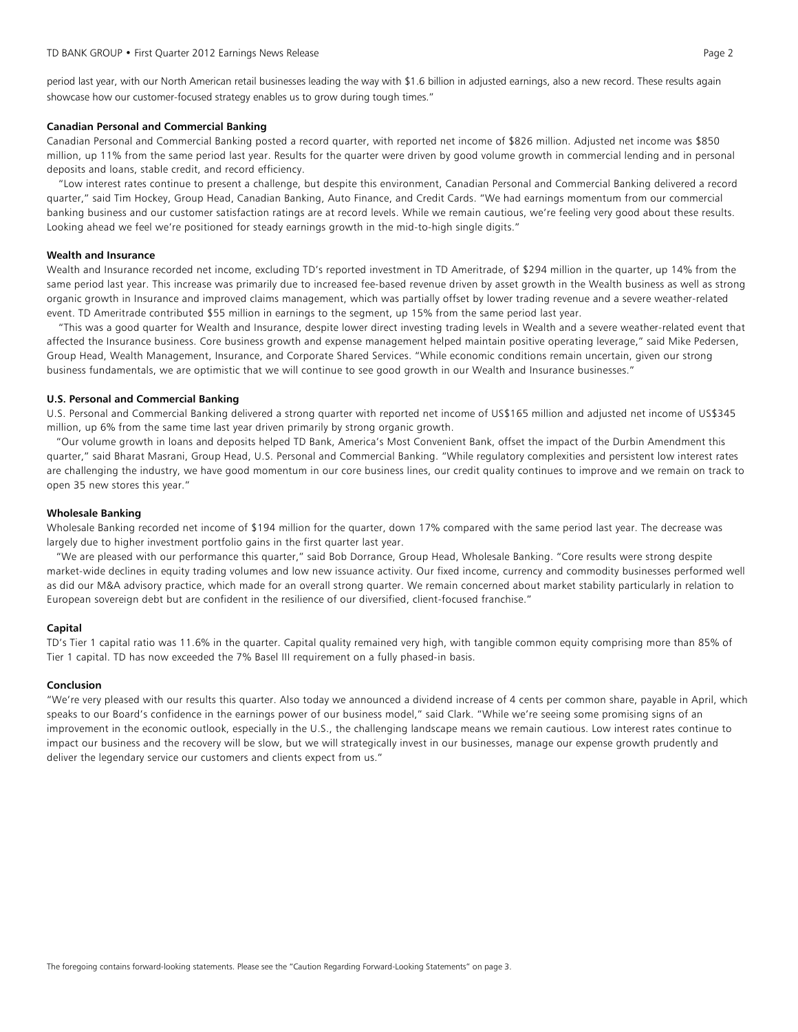period last year, with our North American retail businesses leading the way with \$1.6 billion in adjusted earnings, also a new record. These results again showcase how our customer-focused strategy enables us to grow during tough times."

#### **Canadian Personal and Commercial Banking**

Canadian Personal and Commercial Banking posted a record quarter, with reported net income of \$826 million. Adjusted net income was \$850 million, up 11% from the same period last year. Results for the quarter were driven by good volume growth in commercial lending and in personal deposits and loans, stable credit, and record efficiency.

 "Low interest rates continue to present a challenge, but despite this environment, Canadian Personal and Commercial Banking delivered a record quarter," said Tim Hockey, Group Head, Canadian Banking, Auto Finance, and Credit Cards. "We had earnings momentum from our commercial banking business and our customer satisfaction ratings are at record levels. While we remain cautious, we're feeling very good about these results. Looking ahead we feel we're positioned for steady earnings growth in the mid-to-high single digits."

#### **Wealth and Insurance**

Wealth and Insurance recorded net income, excluding TD's reported investment in TD Ameritrade, of \$294 million in the quarter, up 14% from the same period last year. This increase was primarily due to increased fee-based revenue driven by asset growth in the Wealth business as well as strong organic growth in Insurance and improved claims management, which was partially offset by lower trading revenue and a severe weather-related event. TD Ameritrade contributed \$55 million in earnings to the segment, up 15% from the same period last year.

 "This was a good quarter for Wealth and Insurance, despite lower direct investing trading levels in Wealth and a severe weather-related event that affected the Insurance business. Core business growth and expense management helped maintain positive operating leverage," said Mike Pedersen, Group Head, Wealth Management, Insurance, and Corporate Shared Services. "While economic conditions remain uncertain, given our strong business fundamentals, we are optimistic that we will continue to see good growth in our Wealth and Insurance businesses."

#### **U.S. Personal and Commercial Banking**

U.S. Personal and Commercial Banking delivered a strong quarter with reported net income of US\$165 million and adjusted net income of US\$345 million, up 6% from the same time last year driven primarily by strong organic growth.

 "Our volume growth in loans and deposits helped TD Bank, America's Most Convenient Bank, offset the impact of the Durbin Amendment this quarter," said Bharat Masrani, Group Head, U.S. Personal and Commercial Banking. "While regulatory complexities and persistent low interest rates are challenging the industry, we have good momentum in our core business lines, our credit quality continues to improve and we remain on track to open 35 new stores this year."

#### **Wholesale Banking**

Wholesale Banking recorded net income of \$194 million for the quarter, down 17% compared with the same period last year. The decrease was largely due to higher investment portfolio gains in the first quarter last year.

 "We are pleased with our performance this quarter," said Bob Dorrance, Group Head, Wholesale Banking. "Core results were strong despite market-wide declines in equity trading volumes and low new issuance activity. Our fixed income, currency and commodity businesses performed well as did our M&A advisory practice, which made for an overall strong quarter. We remain concerned about market stability particularly in relation to European sovereign debt but are confident in the resilience of our diversified, client-focused franchise."

#### **Capital**

TD's Tier 1 capital ratio was 11.6% in the quarter. Capital quality remained very high, with tangible common equity comprising more than 85% of Tier 1 capital. TD has now exceeded the 7% Basel III requirement on a fully phased-in basis.

#### **Conclusion**

"We're very pleased with our results this quarter. Also today we announced a dividend increase of 4 cents per common share, payable in April, which speaks to our Board's confidence in the earnings power of our business model," said Clark. "While we're seeing some promising signs of an improvement in the economic outlook, especially in the U.S., the challenging landscape means we remain cautious. Low interest rates continue to impact our business and the recovery will be slow, but we will strategically invest in our businesses, manage our expense growth prudently and deliver the legendary service our customers and clients expect from us."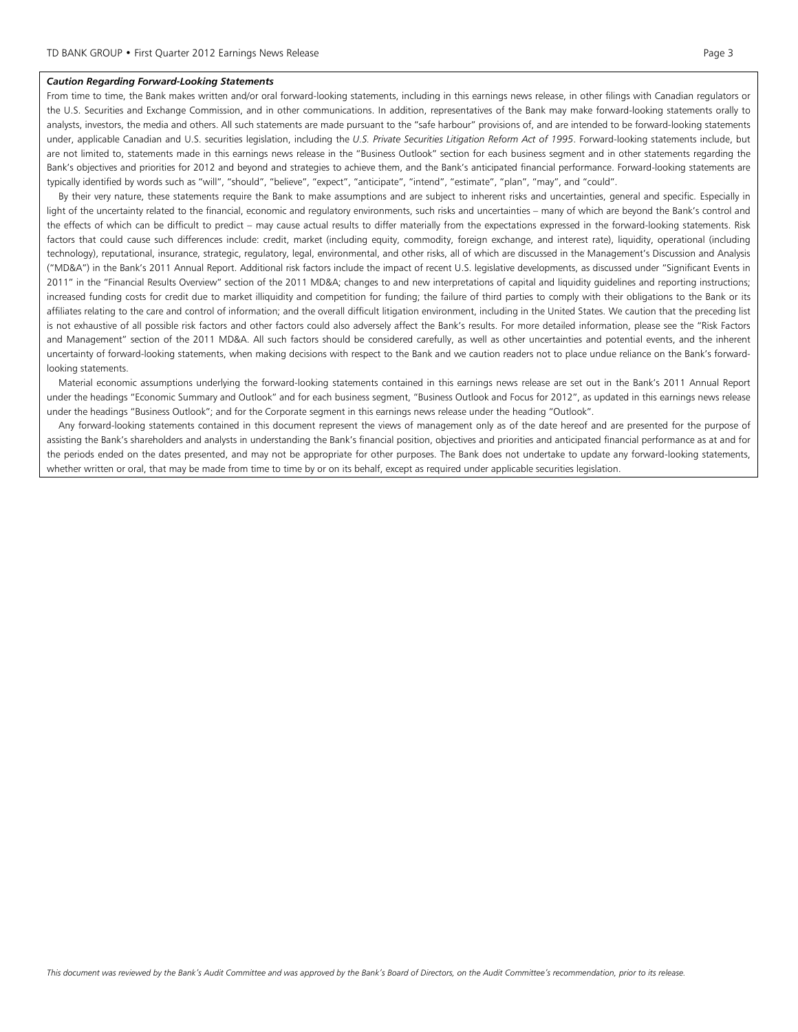#### *Caution Regarding Forward-Looking Statements*

From time to time, the Bank makes written and/or oral forward-looking statements, including in this earnings news release, in other filings with Canadian regulators or the U.S. Securities and Exchange Commission, and in other communications. In addition, representatives of the Bank may make forward-looking statements orally to analysts, investors, the media and others. All such statements are made pursuant to the "safe harbour" provisions of, and are intended to be forward-looking statements under, applicable Canadian and U.S. securities legislation, including the *U.S. Private Securities Litigation Reform Act of 1995*. Forward-looking statements include, but are not limited to, statements made in this earnings news release in the "Business Outlook" section for each business segment and in other statements regarding the Bank's objectives and priorities for 2012 and beyond and strategies to achieve them, and the Bank's anticipated financial performance. Forward-looking statements are typically identified by words such as "will", "should", "believe", "expect", "anticipate", "intend", "estimate", "plan", "may", and "could".

By their very nature, these statements require the Bank to make assumptions and are subject to inherent risks and uncertainties, general and specific. Especially in light of the uncertainty related to the financial, economic and regulatory environments, such risks and uncertainties – many of which are beyond the Bank's control and the effects of which can be difficult to predict – may cause actual results to differ materially from the expectations expressed in the forward-looking statements. Risk factors that could cause such differences include: credit, market (including equity, commodity, foreign exchange, and interest rate), liquidity, operational (including technology), reputational, insurance, strategic, regulatory, legal, environmental, and other risks, all of which are discussed in the Management's Discussion and Analysis ("MD&A") in the Bank's 2011 Annual Report. Additional risk factors include the impact of recent U.S. legislative developments, as discussed under "Significant Events in 2011" in the "Financial Results Overview" section of the 2011 MD&A; changes to and new interpretations of capital and liquidity guidelines and reporting instructions; increased funding costs for credit due to market illiquidity and competition for funding; the failure of third parties to comply with their obligations to the Bank or its affiliates relating to the care and control of information; and the overall difficult litigation environment, including in the United States. We caution that the preceding list is not exhaustive of all possible risk factors and other factors could also adversely affect the Bank's results. For more detailed information, please see the "Risk Factors and Management" section of the 2011 MD&A. All such factors should be considered carefully, as well as other uncertainties and potential events, and the inherent uncertainty of forward-looking statements, when making decisions with respect to the Bank and we caution readers not to place undue reliance on the Bank's forwardlooking statements.

 Material economic assumptions underlying the forward-looking statements contained in this earnings news release are set out in the Bank's 2011 Annual Report under the headings "Economic Summary and Outlook" and for each business segment, "Business Outlook and Focus for 2012", as updated in this earnings news release under the headings "Business Outlook"; and for the Corporate segment in this earnings news release under the heading "Outlook".

 Any forward-looking statements contained in this document represent the views of management only as of the date hereof and are presented for the purpose of assisting the Bank's shareholders and analysts in understanding the Bank's financial position, objectives and priorities and anticipated financial performance as at and for the periods ended on the dates presented, and may not be appropriate for other purposes. The Bank does not undertake to update any forward-looking statements, whether written or oral, that may be made from time to time by or on its behalf, except as required under applicable securities legislation.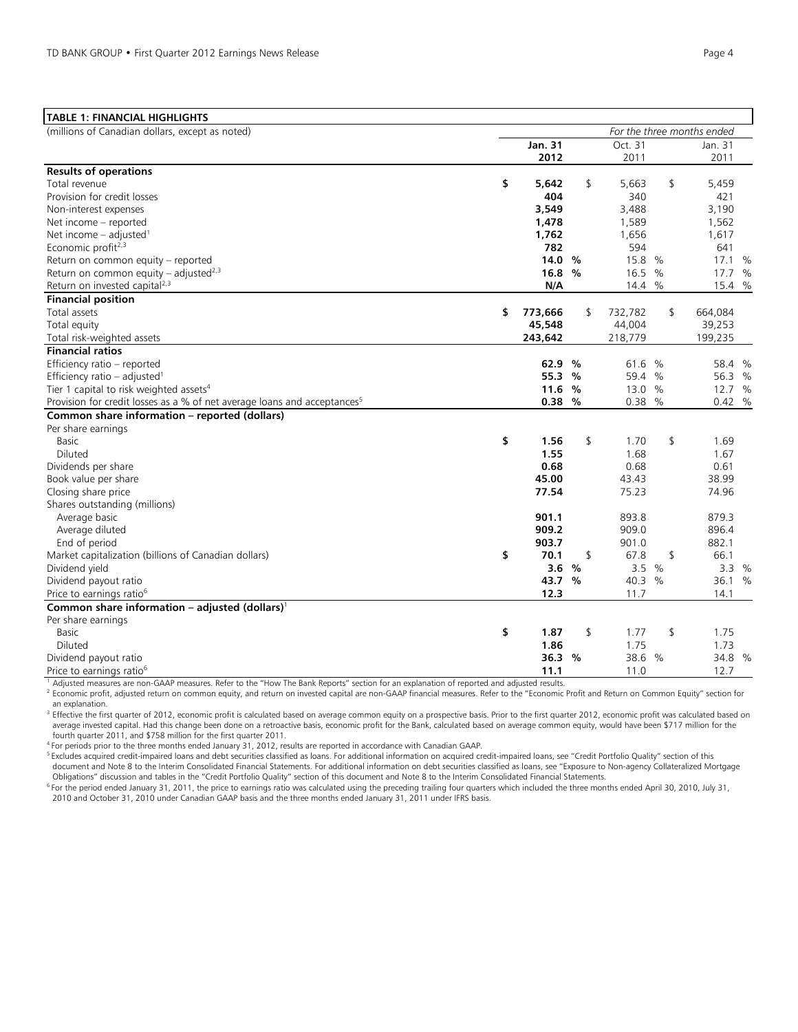| <b>TABLE 1: FINANCIAL HIGHLIGHTS</b>                                                 |               |               |      |                            |
|--------------------------------------------------------------------------------------|---------------|---------------|------|----------------------------|
| (millions of Canadian dollars, except as noted)                                      |               |               |      | For the three months ended |
|                                                                                      | Jan. 31       | Oct. 31       |      | Jan. 31                    |
|                                                                                      | 2012          | 2011          |      | 2011                       |
| <b>Results of operations</b>                                                         |               |               |      |                            |
| Total revenue                                                                        | \$<br>5,642   | \$<br>5,663   | \$   | 5,459                      |
| Provision for credit losses                                                          | 404           | 340           |      | 421                        |
| Non-interest expenses                                                                | 3,549         | 3,488         |      | 3,190                      |
| Net income - reported                                                                | 1,478         | 1,589         |      | 1,562                      |
| Net income $-$ adjusted <sup>1</sup>                                                 | 1,762         | 1,656         |      | 1,617                      |
| Economic profit <sup>2,3</sup>                                                       | 782           | 594           |      | 641                        |
| Return on common equity - reported                                                   | 14.0 %        | 15.8 %        |      | 17.1 %                     |
| Return on common equity – adjusted <sup>2,3</sup>                                    | 16.8 %        | 16.5          | $\%$ | 17.7 %                     |
| Return on invested capital <sup>2,3</sup>                                            | N/A           | 14.4 %        |      | 15.4 %                     |
| <b>Financial position</b>                                                            |               |               |      |                            |
| Total assets                                                                         | \$<br>773,666 | \$<br>732,782 | \$   | 664,084                    |
| Total equity                                                                         | 45,548        | 44,004        |      | 39,253                     |
| Total risk-weighted assets                                                           | 243,642       | 218,779       |      | 199,235                    |
| <b>Financial ratios</b>                                                              |               |               |      |                            |
| Efficiency ratio - reported                                                          | 62.9%         | 61.6          | $\%$ | 58.4 %                     |
| Efficiency ratio - adjusted <sup>1</sup>                                             | 55.3 %        | 59.4          | $\%$ | 56.3 %                     |
| Tier 1 capital to risk weighted assets <sup>4</sup>                                  | 11.6 %        | 13.0 %        |      | 12.7 %                     |
| Provision for credit losses as a % of net average loans and acceptances <sup>5</sup> | 0.38 %        | 0.38%         |      | 0.42 %                     |
| Common share information - reported (dollars)                                        |               |               |      |                            |
| Per share earnings                                                                   |               |               |      |                            |
| Basic                                                                                | \$<br>1.56    | \$<br>1.70    | \$   | 1.69                       |
| Diluted                                                                              | 1.55          | 1.68          |      | 1.67                       |
| Dividends per share                                                                  | 0.68          | 0.68          |      | 0.61                       |
| Book value per share                                                                 | 45.00         | 43.43         |      | 38.99                      |
| Closing share price                                                                  | 77.54         | 75.23         |      | 74.96                      |
| Shares outstanding (millions)                                                        |               |               |      |                            |
| Average basic                                                                        | 901.1         | 893.8         |      | 879.3                      |
| Average diluted                                                                      | 909.2         | 909.0         |      | 896.4                      |
| End of period                                                                        | 903.7         | 901.0         |      | 882.1                      |
| Market capitalization (billions of Canadian dollars)                                 | \$<br>70.1    | \$<br>67.8    | \$   | 66.1                       |
| Dividend yield                                                                       | 3.6%          | 3.5 %         |      | 3.3%                       |
| Dividend payout ratio                                                                | 43.7 %        | 40.3 %        |      | 36.1 %                     |
| Price to earnings ratio <sup>6</sup>                                                 | 12.3          | 11.7          |      | 14.1                       |
| Common share information - adjusted (dollars) <sup>1</sup>                           |               |               |      |                            |
| Per share earnings                                                                   |               |               |      |                            |
| Basic                                                                                | \$<br>1.87    | \$<br>1.77    | \$   | 1.75                       |
| Diluted                                                                              | 1.86          | 1.75          |      | 1.73                       |
| Dividend payout ratio                                                                | 36.3 %        | 38.6 %        |      | 34.8 %                     |
| Price to earnings ratio <sup>6</sup>                                                 | 11.1          | 11.0          |      | 12.7                       |

<sup>1</sup> Adjusted measures are non-GAAP measures. Refer to the "How The Bank Reports" section for an explanation of reported and adjusted results.<br><sup>2</sup> Economic profit, adjusted return on common equity, and return on invested ca an explanation.

<sup>3</sup> Effective the first quarter of 2012, economic profit is calculated based on average common equity on a prospective basis. Prior to the first quarter 2012, economic profit was calculated based on average invested capital. Had this change been done on a retroactive basis, economic profit for the Bank, calculated based on average common equity, would have been \$717 million for the fourth quarter 2011, and \$758 million for the first quarter 2011.

4 For periods prior to the three months ended January 31, 2012, results are reported in accordance with Canadian GAAP.

<sup>5</sup> Excludes acquired credit-impaired loans and debt securities classified as loans. For additional information on acquired credit-impaired loans, see "Credit Portfolio Quality" section of this document and Note 8 to the Interim Consolidated Financial Statements. For additional information on debt securities classified as loans, see "Exposure to Non-agency Collateralized Mortgage<br>Obligations" discussion and table

<sup>6</sup> For the period ended January 31, 2011, the price to earnings ratio was calculated using the preceding trailing four quarters which included the three months ended April 30, 2010, July 31, 2010 and October 31, 2010 under Canadian GAAP basis and the three months ended January 31, 2011 under IFRS basis.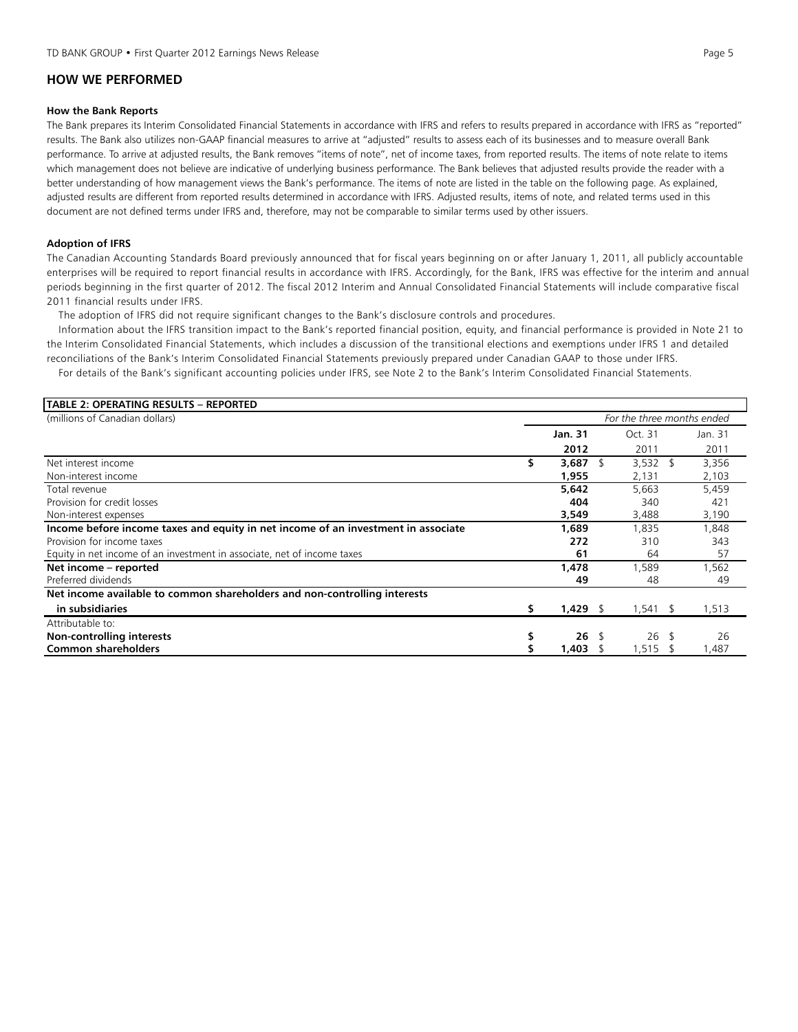## **HOW WE PERFORMED**

#### **How the Bank Reports**

The Bank prepares its Interim Consolidated Financial Statements in accordance with IFRS and refers to results prepared in accordance with IFRS as "reported" results. The Bank also utilizes non-GAAP financial measures to arrive at "adjusted" results to assess each of its businesses and to measure overall Bank performance. To arrive at adjusted results, the Bank removes "items of note", net of income taxes, from reported results. The items of note relate to items which management does not believe are indicative of underlying business performance. The Bank believes that adjusted results provide the reader with a better understanding of how management views the Bank's performance. The items of note are listed in the table on the following page. As explained, adjusted results are different from reported results determined in accordance with IFRS. Adjusted results, items of note, and related terms used in this document are not defined terms under IFRS and, therefore, may not be comparable to similar terms used by other issuers.

#### **Adoption of IFRS**

The Canadian Accounting Standards Board previously announced that for fiscal years beginning on or after January 1, 2011, all publicly accountable enterprises will be required to report financial results in accordance with IFRS. Accordingly, for the Bank, IFRS was effective for the interim and annual periods beginning in the first quarter of 2012. The fiscal 2012 Interim and Annual Consolidated Financial Statements will include comparative fiscal 2011 financial results under IFRS.

The adoption of IFRS did not require significant changes to the Bank's disclosure controls and procedures.

 Information about the IFRS transition impact to the Bank's reported financial position, equity, and financial performance is provided in Note 21 to the Interim Consolidated Financial Statements, which includes a discussion of the transitional elections and exemptions under IFRS 1 and detailed reconciliations of the Bank's Interim Consolidated Financial Statements previously prepared under Canadian GAAP to those under IFRS.

For details of the Bank's significant accounting policies under IFRS, see Note 2 to the Bank's Interim Consolidated Financial Statements.

| <b>TABLE 2: OPERATING RESULTS - REPORTED</b>                                      |                            |            |  |         |  |  |
|-----------------------------------------------------------------------------------|----------------------------|------------|--|---------|--|--|
| (millions of Canadian dollars)                                                    | For the three months ended |            |  |         |  |  |
|                                                                                   | Jan. 31                    | Oct. 31    |  | Jan. 31 |  |  |
|                                                                                   | 2012                       | 2011       |  | 2011    |  |  |
| Net interest income                                                               | \$<br>\$.<br>3,687         | $3,532$ \$ |  | 3,356   |  |  |
| Non-interest income                                                               | 1,955                      | 2,131      |  | 2,103   |  |  |
| Total revenue                                                                     | 5,642                      | 5.663      |  | 5,459   |  |  |
| Provision for credit losses                                                       | 404                        | 340        |  | 421     |  |  |
| Non-interest expenses                                                             | 3,549                      | 3,488      |  | 3,190   |  |  |
| Income before income taxes and equity in net income of an investment in associate | 1,689                      | 1.835      |  | 1.848   |  |  |
| Provision for income taxes                                                        | 272                        | 310        |  | 343     |  |  |
| Equity in net income of an investment in associate, net of income taxes           | 61                         | 64         |  | 57      |  |  |
| Net income – reported                                                             | 1,478                      | 589, ا     |  | .562    |  |  |
| Preferred dividends                                                               | 49                         | 48         |  | 49      |  |  |
| Net income available to common shareholders and non-controlling interests         |                            |            |  |         |  |  |
| in subsidiaries                                                                   | 1,429<br>୍ଥ                | 1,541      |  | 1,513   |  |  |
| Attributable to:                                                                  |                            |            |  |         |  |  |
| <b>Non-controlling interests</b>                                                  | 26                         | 26         |  | 26      |  |  |
| <b>Common shareholders</b>                                                        | 1,403                      | 1,515      |  | ,487    |  |  |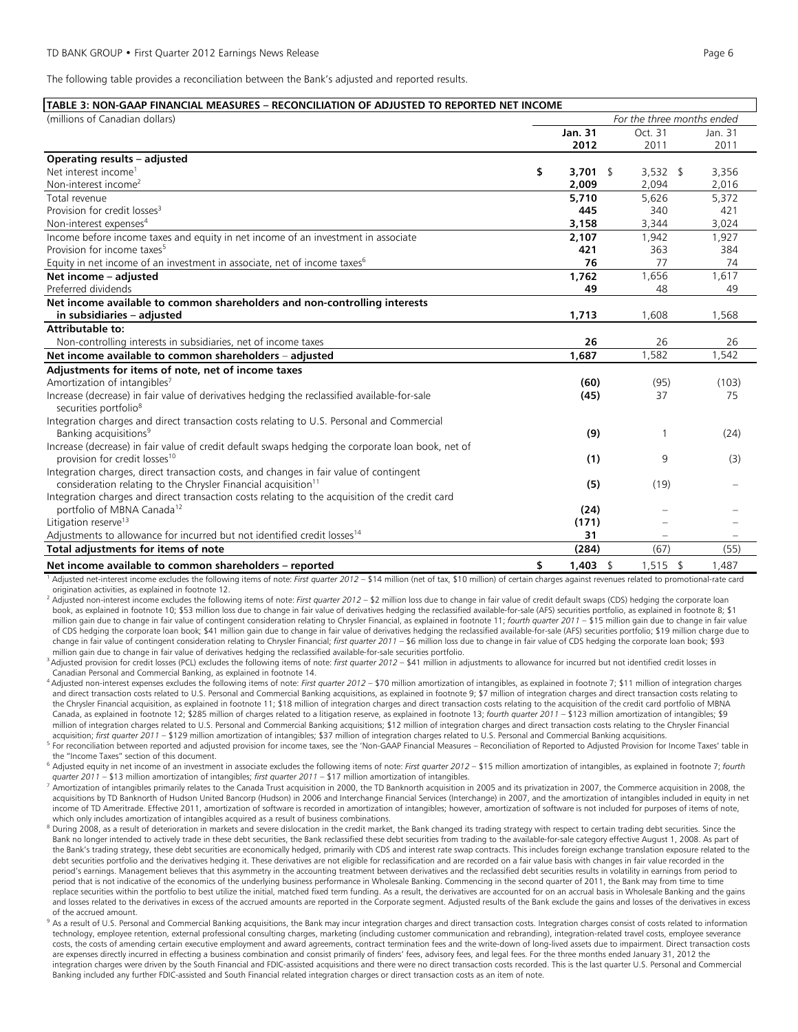The following table provides a reconciliation between the Bank's adjusted and reported results.

| TABLE 3: NON-GAAP FINANCIAL MEASURES - RECONCILIATION OF ADJUSTED TO REPORTED NET INCOME                                                                                                                          |                |                          |                            |
|-------------------------------------------------------------------------------------------------------------------------------------------------------------------------------------------------------------------|----------------|--------------------------|----------------------------|
| (millions of Canadian dollars)                                                                                                                                                                                    |                |                          | For the three months ended |
|                                                                                                                                                                                                                   | <b>Jan. 31</b> | Oct. 31                  | Jan. 31                    |
|                                                                                                                                                                                                                   | 2012           | 2011                     | 2011                       |
| Operating results - adjusted                                                                                                                                                                                      |                |                          |                            |
| Net interest income <sup>1</sup><br>\$                                                                                                                                                                            | $3,701$ \$     | $3,532$ \$               | 3,356                      |
| Non-interest income <sup>2</sup>                                                                                                                                                                                  | 2.009          | 2,094                    | 2,016                      |
| Total revenue                                                                                                                                                                                                     | 5.710          | 5,626                    | 5,372                      |
| Provision for credit losses <sup>3</sup>                                                                                                                                                                          | 445            | 340                      | 421                        |
| Non-interest expenses <sup>4</sup>                                                                                                                                                                                | 3,158          | 3,344                    | 3,024                      |
| Income before income taxes and equity in net income of an investment in associate                                                                                                                                 | 2,107          | 1,942                    | 1,927                      |
| Provision for income taxes <sup>5</sup>                                                                                                                                                                           | 421            | 363                      | 384                        |
| Equity in net income of an investment in associate, net of income taxes <sup>6</sup>                                                                                                                              | 76             | 77                       | 74                         |
| Net income - adjusted                                                                                                                                                                                             | 1,762          | 1,656                    | 1,617                      |
| Preferred dividends                                                                                                                                                                                               | 49             | 48                       | 49                         |
| Net income available to common shareholders and non-controlling interests                                                                                                                                         |                |                          |                            |
| in subsidiaries - adjusted                                                                                                                                                                                        | 1,713          | 1.608                    | 1,568                      |
| <b>Attributable to:</b>                                                                                                                                                                                           |                |                          |                            |
| Non-controlling interests in subsidiaries, net of income taxes                                                                                                                                                    | 26             | 26                       | 26                         |
| Net income available to common shareholders - adjusted                                                                                                                                                            | 1,687          | 1,582                    | 1,542                      |
| Adjustments for items of note, net of income taxes                                                                                                                                                                |                |                          |                            |
| Amortization of intangibles <sup>7</sup>                                                                                                                                                                          | (60)           | (95)                     | (103)                      |
| Increase (decrease) in fair value of derivatives hedging the reclassified available-for-sale<br>securities portfolio <sup>8</sup>                                                                                 | (45)           | 37                       | 75                         |
| Integration charges and direct transaction costs relating to U.S. Personal and Commercial                                                                                                                         |                |                          |                            |
| Banking acquisitions <sup>9</sup>                                                                                                                                                                                 | (9)            | $\mathbf{1}$             | (24)                       |
| Increase (decrease) in fair value of credit default swaps hedging the corporate loan book, net of                                                                                                                 |                |                          |                            |
| provision for credit losses <sup>10</sup>                                                                                                                                                                         | (1)            | 9                        | (3)                        |
| Integration charges, direct transaction costs, and changes in fair value of contingent                                                                                                                            |                |                          |                            |
| consideration relating to the Chrysler Financial acquisition <sup>11</sup>                                                                                                                                        | (5)            | (19)                     |                            |
| Integration charges and direct transaction costs relating to the acquisition of the credit card                                                                                                                   |                |                          |                            |
| portfolio of MBNA Canada <sup>12</sup>                                                                                                                                                                            | (24)           |                          |                            |
| Litigation reserve <sup>13</sup>                                                                                                                                                                                  | (171)          |                          |                            |
| Adjustments to allowance for incurred but not identified credit losses <sup>14</sup>                                                                                                                              | 31             | $\overline{\phantom{m}}$ |                            |
| Total adjustments for items of note                                                                                                                                                                               | (284)          | (67)                     | (55)                       |
| \$<br>Net income available to common shareholders - reported                                                                                                                                                      | $1,403$ \$     | $1,515$ \$               | 1,487                      |
| <sup>1</sup> Adjusted net-interest income excludes the following items of note: First quarter 2012 - \$14 million (net of tax, \$10 million) of certain charges against revenues related to promotional-rate card |                |                          |                            |
| origination activities, as explained in footnote 12.                                                                                                                                                              |                |                          |                            |

<sup>2</sup> Adjusted non-interest income excludes the following items of note: First quarter 2012 – \$2 million loss due to change in fair value of credit default swaps (CDS) hedging the corporate loan book, as explained in footnote 10; \$53 million loss due to change in fair value of derivatives hedging the reclassified available-for-sale (AFS) securities portfolio, as explained in footnote 8; \$1 million gain due to change in fair value of contingent consideration relating to Chrysler Financial, as explained in footnote 11; *fourth quarter 2011 –* \$15 million gain due to change in fair value of CDS hedging the corporate loan book; \$41 million gain due to change in fair value of derivatives hedging the reclassified available-for-sale (AFS) securities portfolio; \$19 million charge due to change in fair value of contingent consideration relating to Chrysler Financial; *first quarter 2011* – \$6 million loss due to change in fair value of CDS hedging the corporate loan book; \$93

million gain due to change in fair value of derivatives hedging the reclassified available-for-sale securities portfolio. <sup>3</sup> Adjusted provision for credit losses (PCL) excludes the following items of note: *first quarter 2012 –* \$41 million in adjustments to allowance for incurred but not identified credit losses in

Canadian Personal and Commercial Banking, as explained in footnote 14.<br><sup>4</sup> Adjusted non-interest expenses excludes the following items of note: *First quarter 2012 – \$70* million amortization of intangibles, as explained i and direct transaction costs related to U.S. Personal and Commercial Banking acquisitions, as explained in footnote 9; \$7 million of integration charges and direct transaction costs relating to the Chrysler Financial acquisition, as explained in footnote 11; \$18 million of integration charges and direct transaction costs relating to the acquisition of the credit card portfolio of MBNA Canada, as explained in footnote 12; \$285 million of charges related to a litigation reserve, as explained in footnote 13; *fourth quarter 2011* – \$123 million amortization of intangibles; \$9 million of integration charges related to U.S. Personal and Commercial Banking acquisitions; \$12 million of integration charges and direct transaction costs relating to the Chrysler Financial acquisition; first quarter 2011 – \$129 million amortization of intangibles; \$37 million of integration charges related to U.S. Personal and Commercial Banking acquisitions.<br><sup>5</sup> For reconciliation between reported and adjus

the "Income Taxes" section of this document.

6 Adjusted equity in net income of an investment in associate excludes the following items of note: *First quarter 2012 –* \$15 million amortization of intangibles, as explained in footnote 7; *fourth* 

7 Amortization of intangibles primarily relates to the Canada Trust acquisition in 2000, the TD Banknorth acquisition in 2005 and its privatization in 2007, the Commerce acquisition in 2008, the acquisitions by TD Banknorth of Hudson United Bancorp (Hudson) in 2006 and Interchange Financial Services (Interchange) in 2007, and the amortization of intangibles included in equity in net income of TD Ameritrade. Effective 2011, amortization of software is recorded in amortization of intangibles; however, amortization of software is not included for purposes of items of note, which only includes amortization of intangibles acquired as a result of business combinations.

<sup>8</sup> During 2008, as a result of deterioration in markets and severe dislocation in the credit market, the Bank changed its trading strategy with respect to certain trading debt securities. Since the Bank no longer intended to actively trade in these debt securities, the Bank reclassified these debt securities from trading to the available-for-sale category effective August 1, 2008. As part of the Bank's trading strategy, these debt securities are economically hedged, primarily with CDS and interest rate swap contracts. This includes foreign exchange translation exposure related to the debt securities portfolio and the derivatives hedging it. These derivatives are not eligible for reclassification and are recorded on a fair value basis with changes in fair value recorded in the period's earnings. Management believes that this asymmetry in the accounting treatment between derivatives and the reclassified debt securities results in volatility in earnings from period to period that is not indicative of the economics of the underlying business performance in Wholesale Banking. Commencing in the second quarter of 2011, the Bank may from time to time replace securities within the portfolio to best utilize the initial, matched fixed term funding. As a result, the derivatives are accounted for on an accrual basis in Wholesale Banking and the gains and losses related to the derivatives in excess of the accrued amounts are reported in the Corporate segment. Adjusted results of the Bank exclude the gains and losses of the derivatives in excess of the accrued amount.

<sup>9</sup> As a result of U.S. Personal and Commercial Banking acquisitions, the Bank may incur integration charges and direct transaction costs. Integration charges consist of costs related to information technology, employee retention, external professional consulting charges, marketing (including customer communication and rebranding), integration-related travel costs, employee severance costs, the costs of amending certain executive employment and award agreements, contract termination fees and the write-down of long-lived assets due to impairment. Direct transaction costs are expenses directly incurred in effecting a business combination and consist primarily of finders' fees, advisory fees, and legal fees. For the three months ended January 31, 2012 the integration charges were driven by the South Financial and FDIC-assisted acquisitions and there were no direct transaction costs recorded. This is the last quarter U.S. Personal and Commercial Banking included any further FDIC-assisted and South Financial related integration charges or direct transaction costs as an item of note.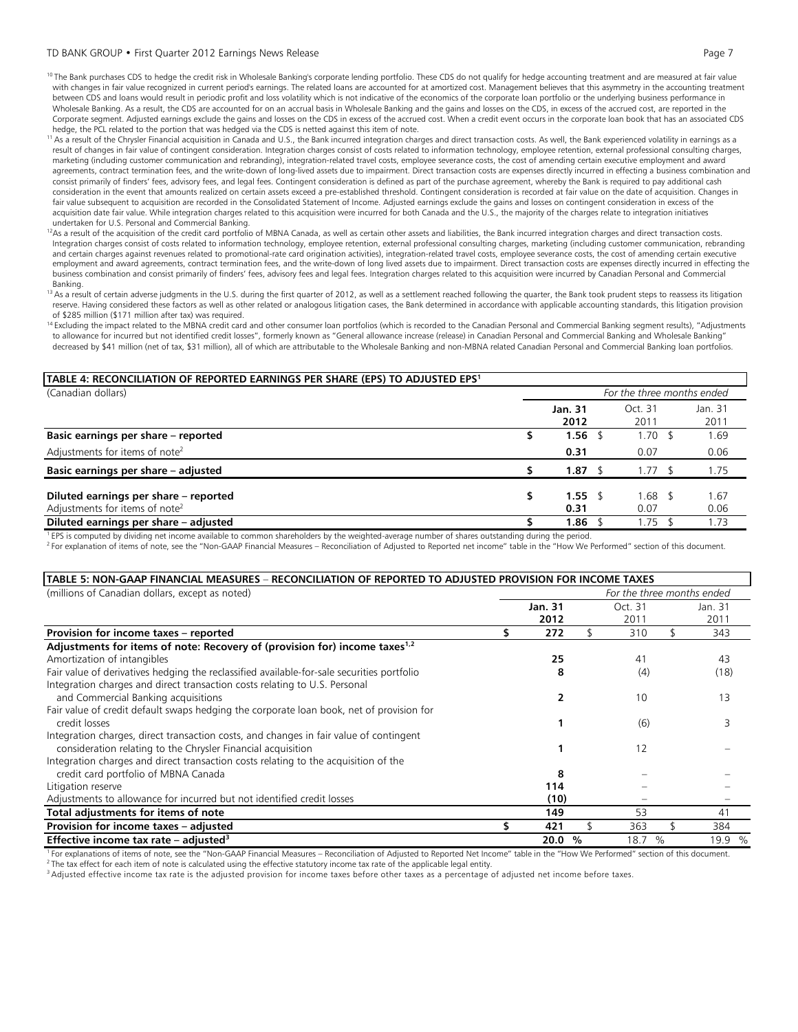#### TD BANK GROUP • First Quarter 2012 Earnings News Release Page 7

- <sup>10</sup> The Bank purchases CDS to hedge the credit risk in Wholesale Banking's corporate lending portfolio. These CDS do not qualify for hedge accounting treatment and are measured at fair value with changes in fair value recognized in current period's earnings. The related loans are accounted for at amortized cost. Management believes that this asymmetry in the accounting treatment between CDS and loans would result in periodic profit and loss volatility which is not indicative of the economics of the corporate loan portfolio or the underlying business performance in Wholesale Banking. As a result, the CDS are accounted for on an accrual basis in Wholesale Banking and the gains and losses on the CDS, in excess of the accrued cost, are reported in the Corporate segment. Adjusted earnings exclude the gains and losses on the CDS in excess of the accrued cost. When a credit event occurs in the corporate loan book that has an associated CDS hedge, the PCL related to the portion that was hedged via the CDS is netted against this item of note.
- <sup>11</sup> As a result of the Chrysler Financial acquisition in Canada and U.S., the Bank incurred integration charges and direct transaction costs. As well, the Bank experienced volatility in earnings as a result of changes in fair value of contingent consideration. Integration charges consist of costs related to information technology, employee retention, external professional consulting charges, marketing (including customer communication and rebranding), integration-related travel costs, employee severance costs, the cost of amending certain executive employment and award agreements, contract termination fees, and the write-down of long-lived assets due to impairment. Direct transaction costs are expenses directly incurred in effecting a business combination and consist primarily of finders' fees, advisory fees, and legal fees. Contingent consideration is defined as part of the purchase agreement, whereby the Bank is required to pay additional cash consideration in the event that amounts realized on certain assets exceed a pre-established threshold. Contingent consideration is recorded at fair value on the date of acquisition. Changes in fair value subsequent to acquisition are recorded in the Consolidated Statement of Income. Adjusted earnings exclude the gains and losses on contingent consideration in excess of the acquisition date fair value. While integration charges related to this acquisition were incurred for both Canada and the U.S., the majority of the charges relate to integration initiatives undertaken for U.S. Personal and Commercial Banking.
- <sup>12</sup>As a result of the acquisition of the credit card portfolio of MBNA Canada, as well as certain other assets and liabilities, the Bank incurred integration charges and direct transaction costs. Integration charges consist of costs related to information technology, employee retention, external professional consulting charges, marketing (including customer communication, rebranding and certain charges against revenues related to promotional-rate card origination activities), integration-related travel costs, employee severance costs, the cost of amending certain executive employment and award agreements, contract termination fees, and the write-down of long lived assets due to impairment. Direct transaction costs are expenses directly incurred in effecting the business combination and consist primarily of finders' fees, advisory fees and legal fees. Integration charges related to this acquisition were incurred by Canadian Personal and Commercial Banking.
- $^{13}$  As a result of certain adverse judgments in the U.S. during the first quarter of 2012, as well as a settlement reached following the quarter, the Bank took prudent steps to reassess its litigation reserve. Having considered these factors as well as other related or analogous litigation cases, the Bank determined in accordance with applicable accounting standards, this litigation provision of \$285 million (\$171 million after tax) was required.
- <sup>14</sup> Excluding the impact related to the MBNA credit card and other consumer loan portfolios (which is recorded to the Canadian Personal and Commercial Banking segment results), "Adjustments to allowance for incurred but not identified credit losses", formerly known as "General allowance increase (release) in Canadian Personal and Commercial Banking and Wholesale Banking" decreased by \$41 million (net of tax, \$31 million), all of which are attributable to the Wholesale Banking and non-MBNA related Canadian Personal and Commercial Banking loan portfolios.

#### **TABLE 4: RECONCILIATION OF REPORTED EARNINGS PER SHARE (EPS) TO ADJUSTED EPS1**

| (Canadian dollars)                                                                  | For the three months ended |                   |  |                 |                 |  |  |  |
|-------------------------------------------------------------------------------------|----------------------------|-------------------|--|-----------------|-----------------|--|--|--|
|                                                                                     |                            | Jan. 31<br>2012   |  | Oct. 31<br>2011 | Jan. 31<br>2011 |  |  |  |
| Basic earnings per share – reported                                                 |                            | 1.56              |  | 1.70            | 1.69            |  |  |  |
| Adjustments for items of note <sup>2</sup>                                          |                            | 0.31              |  | 0.07            | 0.06            |  |  |  |
| Basic earnings per share - adjusted                                                 |                            | 1.87              |  | 1.77            | 1.75            |  |  |  |
| Diluted earnings per share – reported<br>Adjustments for items of note <sup>2</sup> |                            | $1.55$ \$<br>0.31 |  | 1.68<br>0.07    | 1.67<br>0.06    |  |  |  |
| Diluted earnings per share - adjusted                                               |                            | 1.86              |  | 1.75            | 1.73            |  |  |  |

<sup>1</sup> EPS is computed by dividing net income available to common shareholders by the weighted-average number of shares outstanding during the period.<br><sup>2</sup> For explanation of items of note, see the "Non-GAAP Financial Measures

| TABLE 5: NON-GAAP FINANCIAL MEASURES – RECONCILIATION OF REPORTED TO ADJUSTED PROVISION FOR INCOME TAXES |                            |         |               |              |  |         |  |  |  |  |
|----------------------------------------------------------------------------------------------------------|----------------------------|---------|---------------|--------------|--|---------|--|--|--|--|
| (millions of Canadian dollars, except as noted)                                                          | For the three months ended |         |               |              |  |         |  |  |  |  |
|                                                                                                          |                            | Jan. 31 | Oct. 31       |              |  | Jan. 31 |  |  |  |  |
|                                                                                                          |                            | 2012    |               | 2011         |  | 2011    |  |  |  |  |
| Provision for income taxes - reported                                                                    |                            | 272     |               | 310          |  | 343     |  |  |  |  |
| Adjustments for items of note: Recovery of (provision for) income taxes <sup>1,2</sup>                   |                            |         |               |              |  |         |  |  |  |  |
| Amortization of intangibles                                                                              |                            | 25      |               | 41           |  | 43      |  |  |  |  |
| Fair value of derivatives hedging the reclassified available-for-sale securities portfolio               |                            | 8       |               | (4)          |  | (18)    |  |  |  |  |
| Integration charges and direct transaction costs relating to U.S. Personal                               |                            |         |               |              |  |         |  |  |  |  |
| and Commercial Banking acquisitions                                                                      |                            |         |               | 10           |  | 13      |  |  |  |  |
| Fair value of credit default swaps hedging the corporate loan book, net of provision for                 |                            |         |               |              |  |         |  |  |  |  |
| credit losses                                                                                            |                            |         |               | (6)          |  |         |  |  |  |  |
| Integration charges, direct transaction costs, and changes in fair value of contingent                   |                            |         |               |              |  |         |  |  |  |  |
| consideration relating to the Chrysler Financial acquisition                                             |                            |         |               | 12           |  |         |  |  |  |  |
| Integration charges and direct transaction costs relating to the acquisition of the                      |                            |         |               |              |  |         |  |  |  |  |
| credit card portfolio of MBNA Canada                                                                     |                            | 8       |               |              |  |         |  |  |  |  |
| Litigation reserve                                                                                       |                            | 114     |               |              |  |         |  |  |  |  |
| Adjustments to allowance for incurred but not identified credit losses                                   |                            | (10)    |               |              |  |         |  |  |  |  |
| Total adjustments for items of note                                                                      |                            | 149     |               | 53           |  | 41      |  |  |  |  |
| Provision for income taxes - adjusted                                                                    |                            | 421     |               | 363          |  | 384     |  |  |  |  |
| Effective income tax rate – adjusted <sup>3</sup>                                                        |                            | 20.0    | $\frac{6}{6}$ | 18.7<br>$\%$ |  | 19.9 %  |  |  |  |  |

<sup>1</sup> For explanations of items of note, see the "Non-GAAP Financial Measures – Reconciliation of Adjusted to Reported Net Income" table in the "How We Performed" section of this document.<br><sup>2</sup> The tax effect for each item of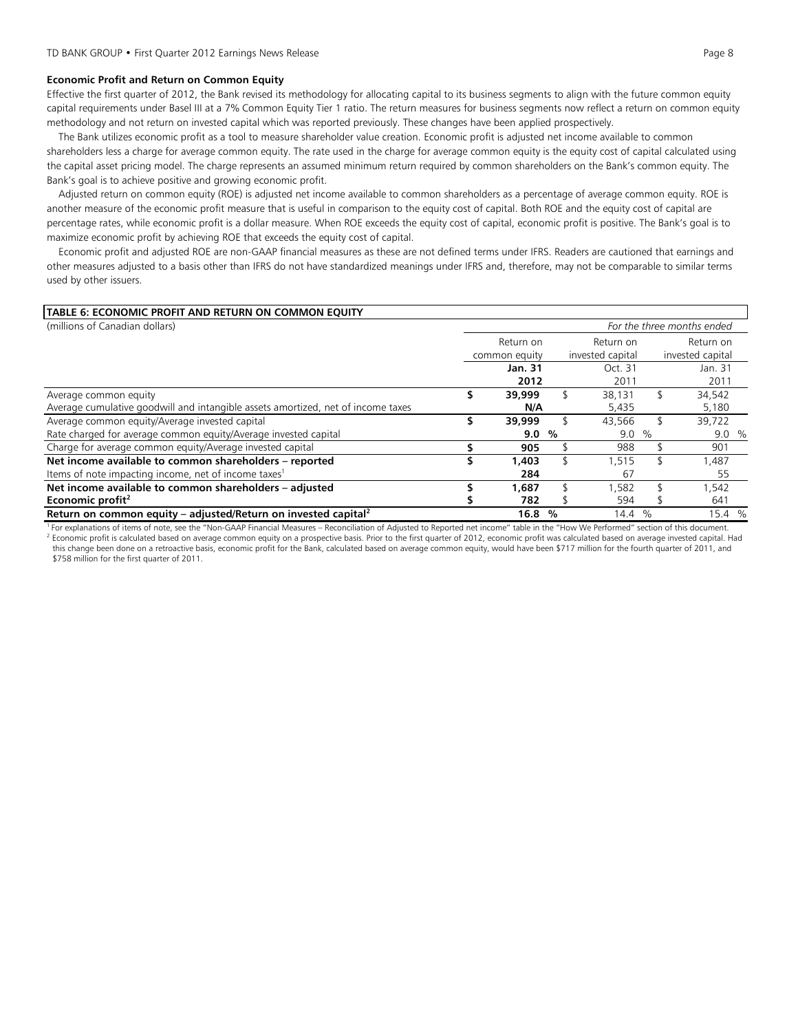#### **Economic Profit and Return on Common Equity**

Effective the first quarter of 2012, the Bank revised its methodology for allocating capital to its business segments to align with the future common equity capital requirements under Basel III at a 7% Common Equity Tier 1 ratio. The return measures for business segments now reflect a return on common equity methodology and not return on invested capital which was reported previously. These changes have been applied prospectively.

 The Bank utilizes economic profit as a tool to measure shareholder value creation. Economic profit is adjusted net income available to common shareholders less a charge for average common equity. The rate used in the charge for average common equity is the equity cost of capital calculated using the capital asset pricing model. The charge represents an assumed minimum return required by common shareholders on the Bank's common equity. The Bank's goal is to achieve positive and growing economic profit.

 Adjusted return on common equity (ROE) is adjusted net income available to common shareholders as a percentage of average common equity. ROE is another measure of the economic profit measure that is useful in comparison to the equity cost of capital. Both ROE and the equity cost of capital are percentage rates, while economic profit is a dollar measure. When ROE exceeds the equity cost of capital, economic profit is positive. The Bank's goal is to maximize economic profit by achieving ROE that exceeds the equity cost of capital.

 Economic profit and adjusted ROE are non-GAAP financial measures as these are not defined terms under IFRS. Readers are cautioned that earnings and other measures adjusted to a basis other than IFRS do not have standardized meanings under IFRS and, therefore, may not be comparable to similar terms used by other issuers.

## **TABLE 6: ECONOMIC PROFIT AND RETURN ON COMMON EQUITY**

| (millions of Canadian dollars)                                                   |               |      |                  |      | For the three months ended |  |
|----------------------------------------------------------------------------------|---------------|------|------------------|------|----------------------------|--|
|                                                                                  | Return on     |      | Return on        |      | Return on                  |  |
|                                                                                  | common equity |      | invested capital |      | invested capital           |  |
|                                                                                  | Jan. 31       |      | Oct. 31          |      | Jan. 31                    |  |
|                                                                                  | 2012          |      | 2011             |      | 2011                       |  |
| Average common equity                                                            | 39,999        |      | 38.131           |      | 34,542                     |  |
| Average cumulative goodwill and intangible assets amortized, net of income taxes | N/A           |      | 5,435            |      | 5,180                      |  |
| Average common equity/Average invested capital                                   | 39,999        |      | 43,566           |      | 39,722                     |  |
| Rate charged for average common equity/Average invested capital                  | 9.0           | $\%$ | 9.0              | $\%$ | 9.0%                       |  |
| Charge for average common equity/Average invested capital                        | 905           |      | 988              |      | 901                        |  |
| Net income available to common shareholders - reported                           | 1,403         |      | 1.515            |      | ,487                       |  |
| Items of note impacting income, net of income taxes <sup>1</sup>                 | 284           |      | 67               |      | 55                         |  |
| Net income available to common shareholders - adjusted                           | 1.687         |      | .582             |      | .542                       |  |
| Economic profit <sup>2</sup>                                                     | 782           |      | 594              |      | 641                        |  |
| Return on common equity – adjusted/Return on invested capital <sup>2</sup>       | 16.8%         |      | 14.4             | $\%$ | 15.4 %                     |  |

<sup>1</sup> For explanations of items of note, see the "Non-GAAP Financial Measures – Reconciliation of Adjusted to Reported net income" table in the "How We Performed" section of this document.<br><sup>2</sup> Economic profit is calculated b this change been done on a retroactive basis, economic profit for the Bank, calculated based on average common equity, would have been \$717 million for the fourth quarter of 2011, and \$758 million for the first quarter of 2011.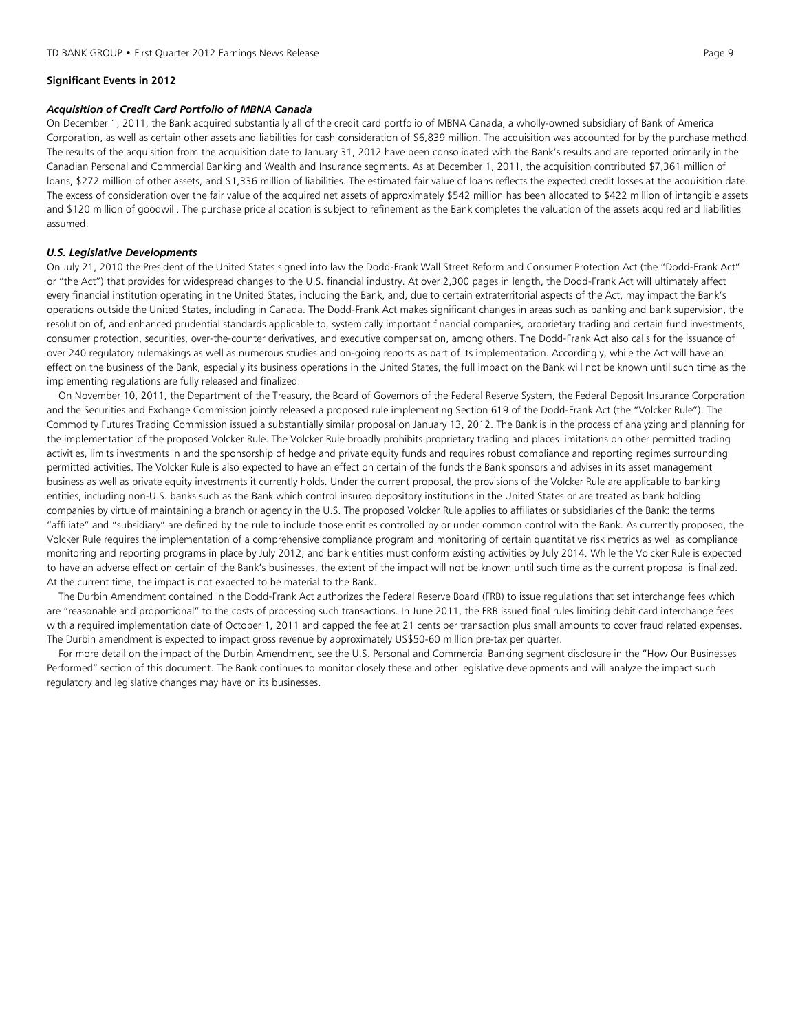#### **Significant Events in 2012**

#### *Acquisition of Credit Card Portfolio of MBNA Canada*

On December 1, 2011, the Bank acquired substantially all of the credit card portfolio of MBNA Canada, a wholly-owned subsidiary of Bank of America Corporation, as well as certain other assets and liabilities for cash consideration of \$6,839 million. The acquisition was accounted for by the purchase method. The results of the acquisition from the acquisition date to January 31, 2012 have been consolidated with the Bank's results and are reported primarily in the Canadian Personal and Commercial Banking and Wealth and Insurance segments. As at December 1, 2011, the acquisition contributed \$7,361 million of loans, \$272 million of other assets, and \$1,336 million of liabilities. The estimated fair value of loans reflects the expected credit losses at the acquisition date. The excess of consideration over the fair value of the acquired net assets of approximately \$542 million has been allocated to \$422 million of intangible assets and \$120 million of goodwill. The purchase price allocation is subject to refinement as the Bank completes the valuation of the assets acquired and liabilities assumed.

#### *U.S. Legislative Developments*

On July 21, 2010 the President of the United States signed into law the Dodd-Frank Wall Street Reform and Consumer Protection Act (the "Dodd-Frank Act" or "the Act") that provides for widespread changes to the U.S. financial industry. At over 2,300 pages in length, the Dodd-Frank Act will ultimately affect every financial institution operating in the United States, including the Bank, and, due to certain extraterritorial aspects of the Act, may impact the Bank's operations outside the United States, including in Canada. The Dodd-Frank Act makes significant changes in areas such as banking and bank supervision, the resolution of, and enhanced prudential standards applicable to, systemically important financial companies, proprietary trading and certain fund investments, consumer protection, securities, over-the-counter derivatives, and executive compensation, among others. The Dodd-Frank Act also calls for the issuance of over 240 regulatory rulemakings as well as numerous studies and on-going reports as part of its implementation. Accordingly, while the Act will have an effect on the business of the Bank, especially its business operations in the United States, the full impact on the Bank will not be known until such time as the implementing regulations are fully released and finalized.

On November 10, 2011, the Department of the Treasury, the Board of Governors of the Federal Reserve System, the Federal Deposit Insurance Corporation and the Securities and Exchange Commission jointly released a proposed rule implementing Section 619 of the Dodd-Frank Act (the "Volcker Rule"). The Commodity Futures Trading Commission issued a substantially similar proposal on January 13, 2012. The Bank is in the process of analyzing and planning for the implementation of the proposed Volcker Rule. The Volcker Rule broadly prohibits proprietary trading and places limitations on other permitted trading activities, limits investments in and the sponsorship of hedge and private equity funds and requires robust compliance and reporting regimes surrounding permitted activities. The Volcker Rule is also expected to have an effect on certain of the funds the Bank sponsors and advises in its asset management business as well as private equity investments it currently holds. Under the current proposal, the provisions of the Volcker Rule are applicable to banking entities, including non-U.S. banks such as the Bank which control insured depository institutions in the United States or are treated as bank holding companies by virtue of maintaining a branch or agency in the U.S. The proposed Volcker Rule applies to affiliates or subsidiaries of the Bank: the terms "affiliate" and "subsidiary" are defined by the rule to include those entities controlled by or under common control with the Bank. As currently proposed, the Volcker Rule requires the implementation of a comprehensive compliance program and monitoring of certain quantitative risk metrics as well as compliance monitoring and reporting programs in place by July 2012; and bank entities must conform existing activities by July 2014. While the Volcker Rule is expected to have an adverse effect on certain of the Bank's businesses, the extent of the impact will not be known until such time as the current proposal is finalized. At the current time, the impact is not expected to be material to the Bank.

The Durbin Amendment contained in the Dodd-Frank Act authorizes the Federal Reserve Board (FRB) to issue regulations that set interchange fees which are "reasonable and proportional" to the costs of processing such transactions. In June 2011, the FRB issued final rules limiting debit card interchange fees with a required implementation date of October 1, 2011 and capped the fee at 21 cents per transaction plus small amounts to cover fraud related expenses. The Durbin amendment is expected to impact gross revenue by approximately US\$50-60 million pre-tax per quarter.

For more detail on the impact of the Durbin Amendment, see the U.S. Personal and Commercial Banking segment disclosure in the "How Our Businesses Performed" section of this document. The Bank continues to monitor closely these and other legislative developments and will analyze the impact such regulatory and legislative changes may have on its businesses.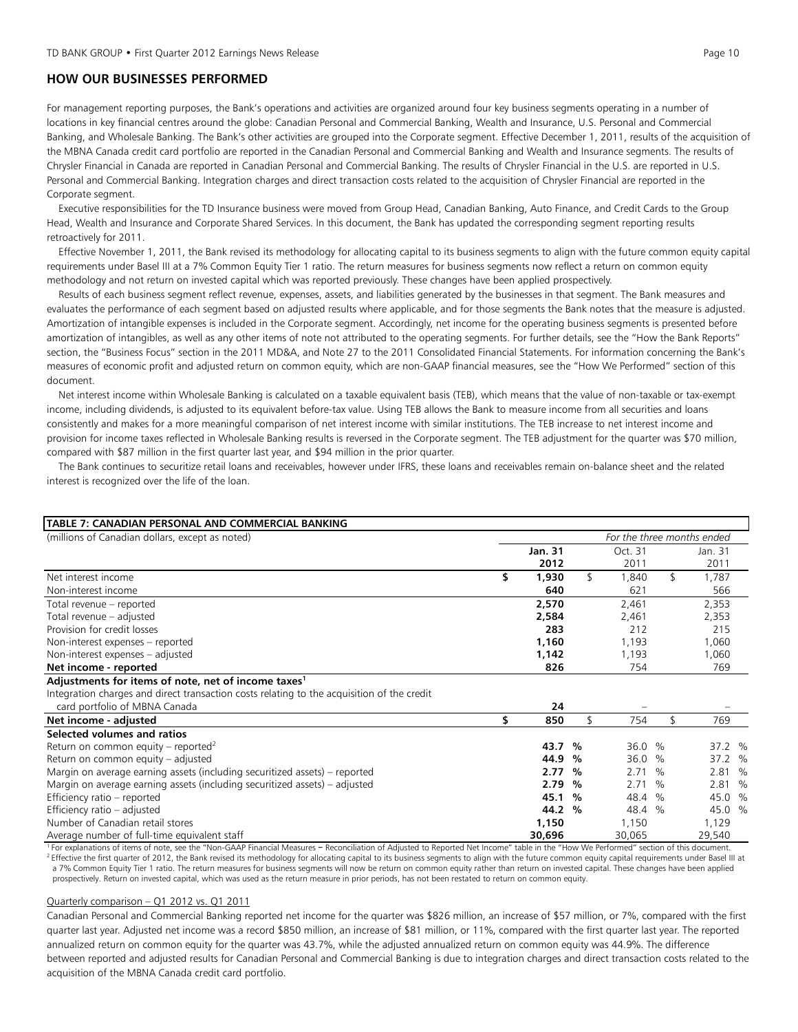## **HOW OUR BUSINESSES PERFORMED**

For management reporting purposes, the Bank's operations and activities are organized around four key business segments operating in a number of locations in key financial centres around the globe: Canadian Personal and Commercial Banking, Wealth and Insurance, U.S. Personal and Commercial Banking, and Wholesale Banking. The Bank's other activities are grouped into the Corporate segment. Effective December 1, 2011, results of the acquisition of the MBNA Canada credit card portfolio are reported in the Canadian Personal and Commercial Banking and Wealth and Insurance segments. The results of Chrysler Financial in Canada are reported in Canadian Personal and Commercial Banking. The results of Chrysler Financial in the U.S. are reported in U.S. Personal and Commercial Banking. Integration charges and direct transaction costs related to the acquisition of Chrysler Financial are reported in the Corporate segment.

 Executive responsibilities for the TD Insurance business were moved from Group Head, Canadian Banking, Auto Finance, and Credit Cards to the Group Head, Wealth and Insurance and Corporate Shared Services. In this document, the Bank has updated the corresponding segment reporting results retroactively for 2011.

 Effective November 1, 2011, the Bank revised its methodology for allocating capital to its business segments to align with the future common equity capital requirements under Basel III at a 7% Common Equity Tier 1 ratio. The return measures for business segments now reflect a return on common equity methodology and not return on invested capital which was reported previously. These changes have been applied prospectively.

 Results of each business segment reflect revenue, expenses, assets, and liabilities generated by the businesses in that segment. The Bank measures and evaluates the performance of each segment based on adjusted results where applicable, and for those segments the Bank notes that the measure is adjusted. Amortization of intangible expenses is included in the Corporate segment. Accordingly, net income for the operating business segments is presented before amortization of intangibles, as well as any other items of note not attributed to the operating segments. For further details, see the "How the Bank Reports" section, the "Business Focus" section in the 2011 MD&A, and Note 27 to the 2011 Consolidated Financial Statements. For information concerning the Bank's measures of economic profit and adjusted return on common equity, which are non-GAAP financial measures, see the "How We Performed" section of this document.

 Net interest income within Wholesale Banking is calculated on a taxable equivalent basis (TEB), which means that the value of non-taxable or tax-exempt income, including dividends, is adjusted to its equivalent before-tax value. Using TEB allows the Bank to measure income from all securities and loans consistently and makes for a more meaningful comparison of net interest income with similar institutions. The TEB increase to net interest income and provision for income taxes reflected in Wholesale Banking results is reversed in the Corporate segment. The TEB adjustment for the quarter was \$70 million, compared with \$87 million in the first quarter last year, and \$94 million in the prior quarter.

 The Bank continues to securitize retail loans and receivables, however under IFRS, these loans and receivables remain on-balance sheet and the related interest is recognized over the life of the loan.

| TABLE 7: CANADIAN PERSONAL AND COMMERCIAL BANKING                                                                                                                                                 |             |               |                            |      |             |  |
|---------------------------------------------------------------------------------------------------------------------------------------------------------------------------------------------------|-------------|---------------|----------------------------|------|-------------|--|
| (millions of Canadian dollars, except as noted)                                                                                                                                                   |             |               | For the three months ended |      |             |  |
|                                                                                                                                                                                                   | Jan. 31     |               | Oct. 31                    |      | Jan. 31     |  |
|                                                                                                                                                                                                   | 2012        |               | 2011                       |      | 2011        |  |
| Net interest income                                                                                                                                                                               | \$<br>1,930 | \$            | 1,840                      |      | \$<br>1,787 |  |
| Non-interest income                                                                                                                                                                               | 640         |               | 621                        |      | 566         |  |
| Total revenue - reported                                                                                                                                                                          | 2,570       |               | 2,461                      |      | 2,353       |  |
| Total revenue - adjusted                                                                                                                                                                          | 2,584       |               | 2,461                      |      | 2,353       |  |
| Provision for credit losses                                                                                                                                                                       | 283         |               | 212                        |      | 215         |  |
| Non-interest expenses - reported                                                                                                                                                                  | 1,160       |               | 1,193                      |      | 1,060       |  |
| Non-interest expenses - adjusted                                                                                                                                                                  | 1,142       |               | 1,193                      |      | 1,060       |  |
| Net income - reported                                                                                                                                                                             | 826         |               | 754                        |      | 769         |  |
| Adjustments for items of note, net of income taxes <sup>1</sup>                                                                                                                                   |             |               |                            |      |             |  |
| Integration charges and direct transaction costs relating to the acquisition of the credit                                                                                                        |             |               |                            |      |             |  |
| card portfolio of MBNA Canada                                                                                                                                                                     | 24          |               |                            |      |             |  |
| Net income - adjusted                                                                                                                                                                             | \$<br>850   | \$            | 754                        |      | 769         |  |
| Selected volumes and ratios                                                                                                                                                                       |             |               |                            |      |             |  |
| Return on common equity – reported <sup>2</sup>                                                                                                                                                   | 43.7        | $\frac{0}{0}$ | 36.0 %                     |      | 37.2 %      |  |
| Return on common equity - adjusted                                                                                                                                                                | 44.9        | $\frac{1}{2}$ | 36.0                       | $\%$ | 37.2 %      |  |
| Margin on average earning assets (including securitized assets) – reported                                                                                                                        | 2.77        | $\frac{1}{2}$ | 2.71                       | $\%$ | 2.81 %      |  |
| Margin on average earning assets (including securitized assets) – adjusted                                                                                                                        | 2.79        | $\frac{1}{2}$ | 2.71                       | $\%$ | 2.81 %      |  |
| Efficiency ratio - reported                                                                                                                                                                       | 45.1        | %             | 48.4                       | $\%$ | 45.0 %      |  |
| Efficiency ratio - adjusted                                                                                                                                                                       | 44.2        | $\%$          | 48.4                       | $\%$ | 45.0 %      |  |
| Number of Canadian retail stores                                                                                                                                                                  | 1,150       |               | 1,150                      |      | 1,129       |  |
| Average number of full-time equivalent staff                                                                                                                                                      | 30,696      |               | 30,065                     |      | 29,540      |  |
| <sup>1</sup> Ear ovplanations of itams of note sea the "Non CAAD Einarcial Monsums = Peconsiliation of Adjusted to Penerted Net Inserna" table in the "How We Performed" section of this desument |             |               |                            |      |             |  |

<sup>2</sup> Effective the first quarter of 2012, the Bank revised its methodology for allocating capital to its business segments to align with the future common equity capital requirements under Basel III at a 7% Common Equity Tier 1 ratio. The return measures for business segments will now be return on common equity rather than return on invested capital. These changes have been applied prospectively. Return on invested capital, which was used as the return measure in prior periods, has not been restated to return on common equity.

Quarterly comparison – Q1 2012 vs. Q1 2011

Canadian Personal and Commercial Banking reported net income for the quarter was \$826 million, an increase of \$57 million, or 7%, compared with the first quarter last year. Adjusted net income was a record \$850 million, an increase of \$81 million, or 11%, compared with the first quarter last year. The reported annualized return on common equity for the quarter was 43.7%, while the adjusted annualized return on common equity was 44.9%. The difference between reported and adjusted results for Canadian Personal and Commercial Banking is due to integration charges and direct transaction costs related to the acquisition of the MBNA Canada credit card portfolio.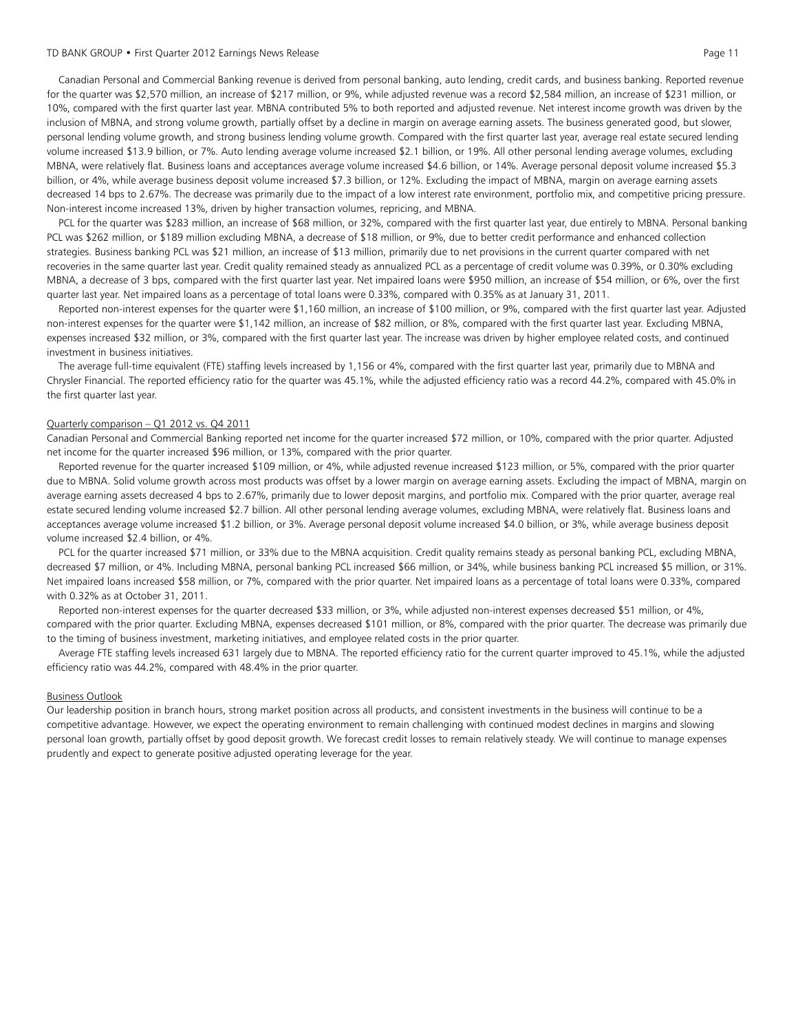#### TD BANK GROUP • First Quarter 2012 Earnings News Release Page 11

 Canadian Personal and Commercial Banking revenue is derived from personal banking, auto lending, credit cards, and business banking. Reported revenue for the quarter was \$2,570 million, an increase of \$217 million, or 9%, while adjusted revenue was a record \$2,584 million, an increase of \$231 million, or 10%, compared with the first quarter last year. MBNA contributed 5% to both reported and adjusted revenue. Net interest income growth was driven by the inclusion of MBNA, and strong volume growth, partially offset by a decline in margin on average earning assets. The business generated good, but slower, personal lending volume growth, and strong business lending volume growth. Compared with the first quarter last year, average real estate secured lending volume increased \$13.9 billion, or 7%. Auto lending average volume increased \$2.1 billion, or 19%. All other personal lending average volumes, excluding MBNA, were relatively flat. Business loans and acceptances average volume increased \$4.6 billion, or 14%. Average personal deposit volume increased \$5.3 billion, or 4%, while average business deposit volume increased \$7.3 billion, or 12%. Excluding the impact of MBNA, margin on average earning assets decreased 14 bps to 2.67%. The decrease was primarily due to the impact of a low interest rate environment, portfolio mix, and competitive pricing pressure. Non-interest income increased 13%, driven by higher transaction volumes, repricing, and MBNA.

 PCL for the quarter was \$283 million, an increase of \$68 million, or 32%, compared with the first quarter last year, due entirely to MBNA. Personal banking PCL was \$262 million, or \$189 million excluding MBNA, a decrease of \$18 million, or 9%, due to better credit performance and enhanced collection strategies. Business banking PCL was \$21 million, an increase of \$13 million, primarily due to net provisions in the current quarter compared with net recoveries in the same quarter last year. Credit quality remained steady as annualized PCL as a percentage of credit volume was 0.39%, or 0.30% excluding MBNA, a decrease of 3 bps, compared with the first quarter last year. Net impaired loans were \$950 million, an increase of \$54 million, or 6%, over the first quarter last year. Net impaired loans as a percentage of total loans were 0.33%, compared with 0.35% as at January 31, 2011.

 Reported non-interest expenses for the quarter were \$1,160 million, an increase of \$100 million, or 9%, compared with the first quarter last year. Adjusted non-interest expenses for the quarter were \$1,142 million, an increase of \$82 million, or 8%, compared with the first quarter last year. Excluding MBNA, expenses increased \$32 million, or 3%, compared with the first quarter last year. The increase was driven by higher employee related costs, and continued investment in business initiatives.

 The average full-time equivalent (FTE) staffing levels increased by 1,156 or 4%, compared with the first quarter last year, primarily due to MBNA and Chrysler Financial. The reported efficiency ratio for the quarter was 45.1%, while the adjusted efficiency ratio was a record 44.2%, compared with 45.0% in the first quarter last year.

#### Quarterly comparison – Q1 2012 vs. Q4 2011

Canadian Personal and Commercial Banking reported net income for the quarter increased \$72 million, or 10%, compared with the prior quarter. Adjusted net income for the quarter increased \$96 million, or 13%, compared with the prior quarter.

 Reported revenue for the quarter increased \$109 million, or 4%, while adjusted revenue increased \$123 million, or 5%, compared with the prior quarter due to MBNA. Solid volume growth across most products was offset by a lower margin on average earning assets. Excluding the impact of MBNA, margin on average earning assets decreased 4 bps to 2.67%, primarily due to lower deposit margins, and portfolio mix. Compared with the prior quarter, average real estate secured lending volume increased \$2.7 billion. All other personal lending average volumes, excluding MBNA, were relatively flat. Business loans and acceptances average volume increased \$1.2 billion, or 3%. Average personal deposit volume increased \$4.0 billion, or 3%, while average business deposit volume increased \$2.4 billion, or 4%.

 PCL for the quarter increased \$71 million, or 33% due to the MBNA acquisition. Credit quality remains steady as personal banking PCL, excluding MBNA, decreased \$7 million, or 4%. Including MBNA, personal banking PCL increased \$66 million, or 34%, while business banking PCL increased \$5 million, or 31%. Net impaired loans increased \$58 million, or 7%, compared with the prior quarter. Net impaired loans as a percentage of total loans were 0.33%, compared with 0.32% as at October 31, 2011.

 Reported non-interest expenses for the quarter decreased \$33 million, or 3%, while adjusted non-interest expenses decreased \$51 million, or 4%, compared with the prior quarter. Excluding MBNA, expenses decreased \$101 million, or 8%, compared with the prior quarter. The decrease was primarily due to the timing of business investment, marketing initiatives, and employee related costs in the prior quarter.

 Average FTE staffing levels increased 631 largely due to MBNA. The reported efficiency ratio for the current quarter improved to 45.1%, while the adjusted efficiency ratio was 44.2%, compared with 48.4% in the prior quarter.

#### Business Outlook

Our leadership position in branch hours, strong market position across all products, and consistent investments in the business will continue to be a competitive advantage. However, we expect the operating environment to remain challenging with continued modest declines in margins and slowing personal loan growth, partially offset by good deposit growth. We forecast credit losses to remain relatively steady. We will continue to manage expenses prudently and expect to generate positive adjusted operating leverage for the year.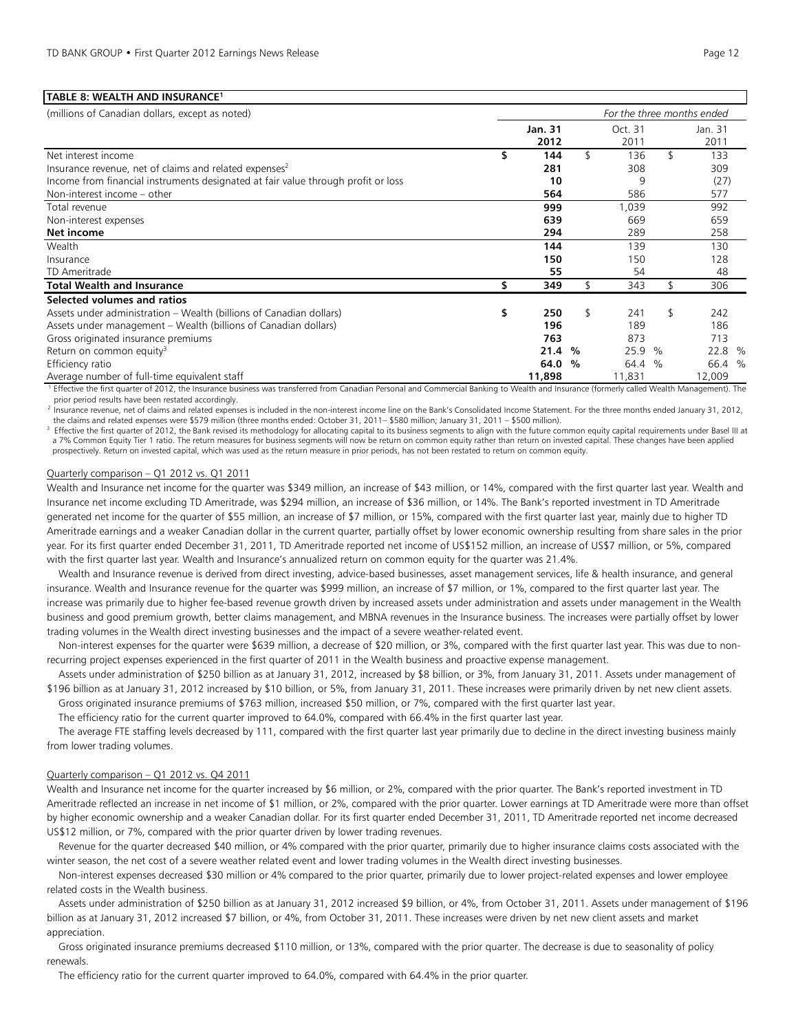## **TABLE 8: WEALTH AND INSURANCE1**

| (millions of Canadian dollars, except as noted)                                                                                                                                            | For the three months ended |         |               |         |      |    |         |  |
|--------------------------------------------------------------------------------------------------------------------------------------------------------------------------------------------|----------------------------|---------|---------------|---------|------|----|---------|--|
|                                                                                                                                                                                            |                            | Jan. 31 |               | Oct. 31 |      |    | Jan. 31 |  |
|                                                                                                                                                                                            |                            | 2012    |               | 2011    |      |    | 2011    |  |
| Net interest income                                                                                                                                                                        | \$                         | 144     | \$            | 136     |      | \$ | 133     |  |
| Insurance revenue, net of claims and related expenses $2$                                                                                                                                  |                            | 281     |               | 308     |      |    | 309     |  |
| Income from financial instruments designated at fair value through profit or loss                                                                                                          |                            | 10      |               |         |      |    | (27)    |  |
| Non-interest income – other                                                                                                                                                                |                            | 564     |               | 586     |      |    | 577     |  |
| Total revenue                                                                                                                                                                              |                            | 999     |               | 1,039   |      |    | 992     |  |
| Non-interest expenses                                                                                                                                                                      |                            | 639     |               | 669     |      |    | 659     |  |
| Net income                                                                                                                                                                                 |                            | 294     |               | 289     |      |    | 258     |  |
| Wealth                                                                                                                                                                                     |                            | 144     |               | 139     |      |    | 130     |  |
| Insurance                                                                                                                                                                                  |                            | 150     |               | 150     |      |    | 128     |  |
| TD Ameritrade                                                                                                                                                                              |                            | 55      |               | 54      |      |    | 48      |  |
| <b>Total Wealth and Insurance</b>                                                                                                                                                          |                            | 349     |               | 343     |      |    | 306     |  |
| Selected volumes and ratios                                                                                                                                                                |                            |         |               |         |      |    |         |  |
| Assets under administration – Wealth (billions of Canadian dollars)                                                                                                                        | \$                         | 250     | \$            | 241     |      | \$ | 242     |  |
| Assets under management – Wealth (billions of Canadian dollars)                                                                                                                            |                            | 196     |               | 189     |      |    | 186     |  |
| Gross originated insurance premiums                                                                                                                                                        |                            | 763     |               | 873     |      |    | 713     |  |
| Return on common equity <sup>3</sup>                                                                                                                                                       |                            | 21.4    | $\frac{1}{2}$ | 25.9    | $\%$ |    | 22.8 %  |  |
| Efficiency ratio                                                                                                                                                                           |                            | 64.0    | %             | 64.4    | $\%$ |    | 66.4 %  |  |
| Average number of full-time equivalent staff                                                                                                                                               |                            | 11,898  |               | 11,831  |      |    | 12,009  |  |
| Effective the first quarter of 2012, the Insurance business was transferred from Canadian Personal and Commercial Banking to Wealth and Insurance (formerly called Wealth Management). The |                            |         |               |         |      |    |         |  |

prior period results have been restated accordingly.

<sup>2</sup> Insurance revenue, net of claims and related expenses is included in the non-interest income line on the Bank's Consolidated Income Statement. For the three months ended January 31, 2012,<br>the claims and related expense

<sup>3</sup> Effective the first quarter of 2012, the Bank revised its methodology for allocating capital to its business segments to align with the future common equity capital requirements under Basel III at a 7% Common Equity Tier 1 ratio. The return measures for business segments will now be return on common equity rather than return on invested capital. These changes have been applied prospectively. Return on invested capital, which was used as the return measure in prior periods, has not been restated to return on common equity.

#### Quarterly comparison – Q1 2012 vs. Q1 2011

Wealth and Insurance net income for the quarter was \$349 million, an increase of \$43 million, or 14%, compared with the first quarter last year. Wealth and Insurance net income excluding TD Ameritrade, was \$294 million, an increase of \$36 million, or 14%. The Bank's reported investment in TD Ameritrade generated net income for the quarter of \$55 million, an increase of \$7 million, or 15%, compared with the first quarter last year, mainly due to higher TD Ameritrade earnings and a weaker Canadian dollar in the current quarter, partially offset by lower economic ownership resulting from share sales in the prior year. For its first quarter ended December 31, 2011, TD Ameritrade reported net income of US\$152 million, an increase of US\$7 million, or 5%, compared with the first quarter last year. Wealth and Insurance's annualized return on common equity for the quarter was 21.4%.

 Wealth and Insurance revenue is derived from direct investing, advice-based businesses, asset management services, life & health insurance, and general insurance. Wealth and Insurance revenue for the quarter was \$999 million, an increase of \$7 million, or 1%, compared to the first quarter last year. The increase was primarily due to higher fee-based revenue growth driven by increased assets under administration and assets under management in the Wealth business and good premium growth, better claims management, and MBNA revenues in the Insurance business. The increases were partially offset by lower trading volumes in the Wealth direct investing businesses and the impact of a severe weather-related event.

 Non-interest expenses for the quarter were \$639 million, a decrease of \$20 million, or 3%, compared with the first quarter last year. This was due to nonrecurring project expenses experienced in the first quarter of 2011 in the Wealth business and proactive expense management.

 Assets under administration of \$250 billion as at January 31, 2012, increased by \$8 billion, or 3%, from January 31, 2011. Assets under management of \$196 billion as at January 31, 2012 increased by \$10 billion, or 5%, from January 31, 2011. These increases were primarily driven by net new client assets. Gross originated insurance premiums of \$763 million, increased \$50 million, or 7%, compared with the first quarter last year.

The efficiency ratio for the current quarter improved to 64.0%, compared with 66.4% in the first quarter last year.

 The average FTE staffing levels decreased by 111, compared with the first quarter last year primarily due to decline in the direct investing business mainly from lower trading volumes.

## Quarterly comparison – Q1 2012 vs. Q4 2011

Wealth and Insurance net income for the quarter increased by \$6 million, or 2%, compared with the prior quarter. The Bank's reported investment in TD Ameritrade reflected an increase in net income of \$1 million, or 2%, compared with the prior quarter. Lower earnings at TD Ameritrade were more than offset by higher economic ownership and a weaker Canadian dollar. For its first quarter ended December 31, 2011, TD Ameritrade reported net income decreased US\$12 million, or 7%, compared with the prior quarter driven by lower trading revenues.

 Revenue for the quarter decreased \$40 million, or 4% compared with the prior quarter, primarily due to higher insurance claims costs associated with the winter season, the net cost of a severe weather related event and lower trading volumes in the Wealth direct investing businesses.

 Non-interest expenses decreased \$30 million or 4% compared to the prior quarter, primarily due to lower project-related expenses and lower employee related costs in the Wealth business.

 Assets under administration of \$250 billion as at January 31, 2012 increased \$9 billion, or 4%, from October 31, 2011. Assets under management of \$196 billion as at January 31, 2012 increased \$7 billion, or 4%, from October 31, 2011. These increases were driven by net new client assets and market appreciation.

 Gross originated insurance premiums decreased \$110 million, or 13%, compared with the prior quarter. The decrease is due to seasonality of policy renewals.

The efficiency ratio for the current quarter improved to 64.0%, compared with 64.4% in the prior quarter.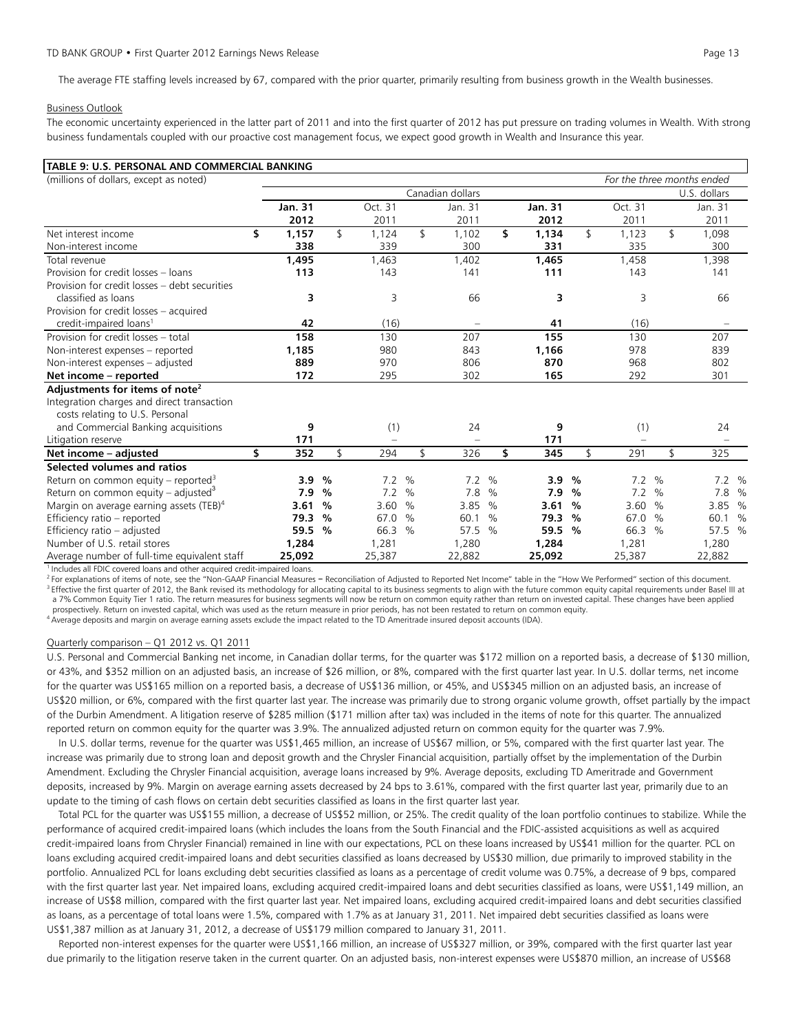The average FTE staffing levels increased by 67, compared with the prior quarter, primarily resulting from business growth in the Wealth businesses.

#### Business Outlook

The economic uncertainty experienced in the latter part of 2011 and into the first quarter of 2012 has put pressure on trading volumes in Wealth. With strong business fundamentals coupled with our proactive cost management focus, we expect good growth in Wealth and Insurance this year.

| TABLE 9: U.S. PERSONAL AND COMMERCIAL BANKING       |    |                |               |         |      |                   |      |         |               |         |               |                            |       |
|-----------------------------------------------------|----|----------------|---------------|---------|------|-------------------|------|---------|---------------|---------|---------------|----------------------------|-------|
| (millions of dollars, except as noted)              |    |                |               |         |      |                   |      |         |               |         |               | For the three months ended |       |
|                                                     |    |                |               |         |      | Canadian dollars  |      |         |               |         |               | U.S. dollars               |       |
|                                                     |    | <b>Jan. 31</b> |               | Oct. 31 |      | Jan. 31           |      | Jan. 31 |               | Oct. 31 |               | Jan. 31                    |       |
|                                                     |    | 2012           |               | 2011    |      | 2011              |      | 2012    |               | 2011    |               | 2011                       |       |
| Net interest income                                 | \$ | 1,157          | \$            | 1,124   | \$   | 1,102             | \$   | 1,134   | \$            | 1,123   | \$            | 1,098                      |       |
| Non-interest income                                 |    | 338            |               | 339     |      | 300               |      | 331     |               | 335     |               | 300                        |       |
| Total revenue                                       |    | 1,495          |               | 1,463   |      | 1,402             |      | 1,465   |               | 1,458   |               | 1,398                      |       |
| Provision for credit losses - loans                 |    | 113            |               | 143     |      | 141               |      | 111     |               | 143     |               | 141                        |       |
| Provision for credit losses - debt securities       |    |                |               |         |      |                   |      |         |               |         |               |                            |       |
| classified as loans                                 |    | 3              |               | 3       |      | 66                |      | 3       |               | 3       |               | 66                         |       |
| Provision for credit losses - acquired              |    |                |               |         |      |                   |      |         |               |         |               |                            |       |
| credit-impaired loans <sup>1</sup>                  |    | 42             |               | (16)    |      | $\qquad \qquad -$ |      | 41      |               | (16)    |               | $\qquad \qquad -$          |       |
| Provision for credit losses - total                 |    | 158            |               | 130     |      | 207               |      | 155     |               | 130     |               | 207                        |       |
| Non-interest expenses - reported                    |    | 1,185          |               | 980     |      | 843               |      | 1,166   |               | 978     |               | 839                        |       |
| Non-interest expenses - adjusted                    |    | 889            |               | 970     |      | 806               |      | 870     |               | 968     |               | 802                        |       |
| Net income - reported                               |    | 172            |               | 295     |      | 302               |      | 165     |               | 292     |               | 301                        |       |
| Adjustments for items of note <sup>2</sup>          |    |                |               |         |      |                   |      |         |               |         |               |                            |       |
| Integration charges and direct transaction          |    |                |               |         |      |                   |      |         |               |         |               |                            |       |
| costs relating to U.S. Personal                     |    |                |               |         |      |                   |      |         |               |         |               |                            |       |
| and Commercial Banking acquisitions                 |    | 9              |               | (1)     |      | 24                |      | 9       |               | (1)     |               | 24                         |       |
| Litigation reserve                                  |    | 171            |               |         |      | $\equiv$          |      | 171     |               |         |               |                            |       |
| Net income - adjusted                               | \$ | 352            | \$            | 294     | \$   | 326               | \$   | 345     | \$            | 291     | \$            | 325                        |       |
| Selected volumes and ratios                         |    |                |               |         |      |                   |      |         |               |         |               |                            |       |
| Return on common equity – reported <sup>3</sup>     |    | 3.9            | $\%$          | 7.2     | $\%$ | 7.2               | $\%$ | 3.9     | $\frac{0}{0}$ | 7.2     | $\%$          |                            | 7.2%  |
| Return on common equity – adjusted <sup>3</sup>     |    | 7.9            | $\%$          | 7.2     | $\%$ | 7.8               | $\%$ | 7.9     | $\%$          | 7.2     | $\%$          |                            | 7.8 % |
| Margin on average earning assets (TEB) <sup>4</sup> |    | 3.61           | $\frac{0}{0}$ | 3.60    | $\%$ | 3.85              | $\%$ | 3.61    | $\%$          | 3.60    | $\%$          | 3.85 %                     |       |
| Efficiency ratio - reported                         |    | 79.3           | $\%$          | 67.0    | $\%$ | 60.1              | $\%$ | 79.3    | $\frac{0}{0}$ | 67.0    | $\%$          | 60.1 %                     |       |
| Efficiency ratio - adjusted                         |    | 59.5           | $\%$          | 66.3    | $\%$ | 57.5              | $\%$ | 59.5    | $\frac{0}{0}$ | 66.3    | $\frac{1}{2}$ | 57.5 %                     |       |
| Number of U.S. retail stores                        |    | 1,284          |               | 1,281   |      | 1,280             |      | 1,284   |               | 1,281   |               | 1,280                      |       |
| Average number of full-time equivalent staff        |    | 25,092         |               | 25,387  |      | 22,882            |      | 25,092  |               | 25,387  |               | 22,882                     |       |

<sup>1</sup> Includes all FDIC covered loans and other acquired credit-impaired loans.

<sup>2</sup> For explanations of items of note, see the "Non-GAAP Financial Measures – Reconciliation of Adjusted to Reported Net Income" table in the "How We Performed" section of this document.<br><sup>3</sup> Effective the first quarter of a 7% Common Fquity Tier 1 ratio. The return measures for business segments will now be return on common equity rather than return on invested capital. These changes have been applied

prospectively. Return on invested capital, which was used as the return measure in prior periods, has not been restated to return on common equity.<br>4 Average deposits and margin on average earning assets exclude the impact

Quarterly comparison – Q1 2012 vs. Q1 2011

U.S. Personal and Commercial Banking net income, in Canadian dollar terms, for the quarter was \$172 million on a reported basis, a decrease of \$130 million, or 43%, and \$352 million on an adjusted basis, an increase of \$26 million, or 8%, compared with the first quarter last year. In U.S. dollar terms, net income for the quarter was US\$165 million on a reported basis, a decrease of US\$136 million, or 45%, and US\$345 million on an adjusted basis, an increase of US\$20 million, or 6%, compared with the first quarter last year. The increase was primarily due to strong organic volume growth, offset partially by the impact of the Durbin Amendment. A litigation reserve of \$285 million (\$171 million after tax) was included in the items of note for this quarter. The annualized reported return on common equity for the quarter was 3.9%. The annualized adjusted return on common equity for the quarter was 7.9%.

 In U.S. dollar terms, revenue for the quarter was US\$1,465 million, an increase of US\$67 million, or 5%, compared with the first quarter last year. The increase was primarily due to strong loan and deposit growth and the Chrysler Financial acquisition, partially offset by the implementation of the Durbin Amendment. Excluding the Chrysler Financial acquisition, average loans increased by 9%. Average deposits, excluding TD Ameritrade and Government deposits, increased by 9%. Margin on average earning assets decreased by 24 bps to 3.61%, compared with the first quarter last year, primarily due to an update to the timing of cash flows on certain debt securities classified as loans in the first quarter last year.

 Total PCL for the quarter was US\$155 million, a decrease of US\$52 million, or 25%. The credit quality of the loan portfolio continues to stabilize. While the performance of acquired credit-impaired loans (which includes the loans from the South Financial and the FDIC-assisted acquisitions as well as acquired credit-impaired loans from Chrysler Financial) remained in line with our expectations, PCL on these loans increased by US\$41 million for the quarter. PCL on loans excluding acquired credit-impaired loans and debt securities classified as loans decreased by US\$30 million, due primarily to improved stability in the portfolio. Annualized PCL for loans excluding debt securities classified as loans as a percentage of credit volume was 0.75%, a decrease of 9 bps, compared with the first quarter last year. Net impaired loans, excluding acquired credit-impaired loans and debt securities classified as loans, were US\$1,149 million, an increase of US\$8 million, compared with the first quarter last year. Net impaired loans, excluding acquired credit-impaired loans and debt securities classified as loans, as a percentage of total loans were 1.5%, compared with 1.7% as at January 31, 2011. Net impaired debt securities classified as loans were US\$1,387 million as at January 31, 2012, a decrease of US\$179 million compared to January 31, 2011.

 Reported non-interest expenses for the quarter were US\$1,166 million, an increase of US\$327 million, or 39%, compared with the first quarter last year due primarily to the litigation reserve taken in the current quarter. On an adjusted basis, non-interest expenses were US\$870 million, an increase of US\$68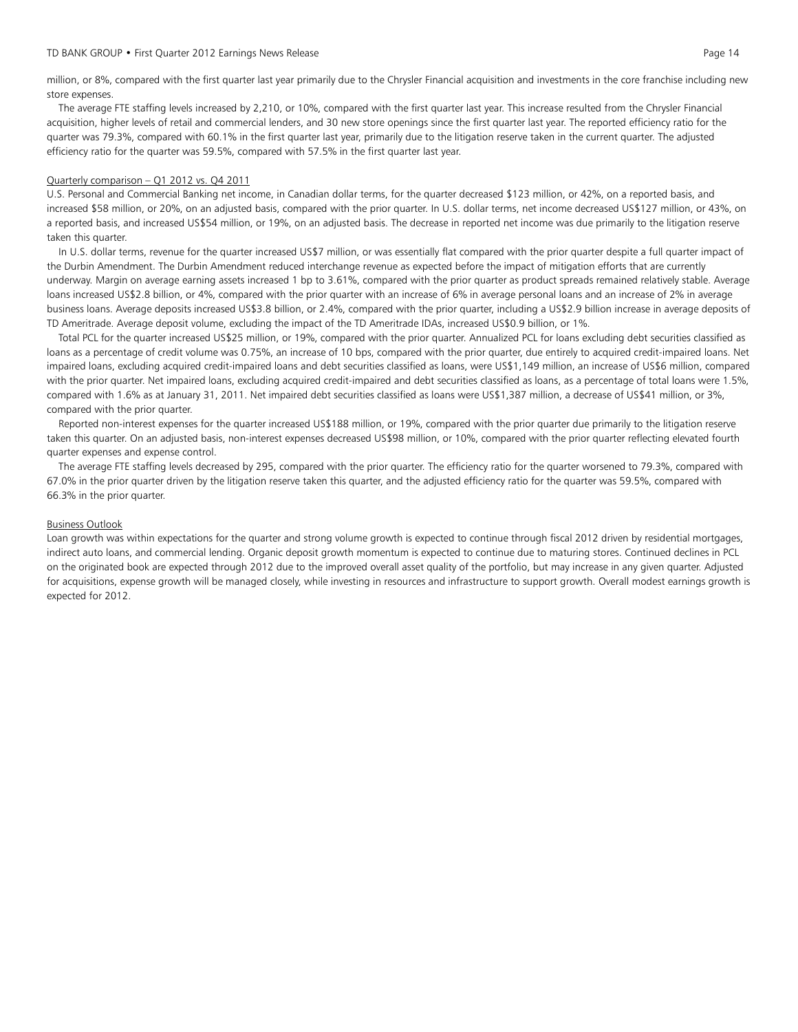million, or 8%, compared with the first quarter last year primarily due to the Chrysler Financial acquisition and investments in the core franchise including new store expenses.

 The average FTE staffing levels increased by 2,210, or 10%, compared with the first quarter last year. This increase resulted from the Chrysler Financial acquisition, higher levels of retail and commercial lenders, and 30 new store openings since the first quarter last year. The reported efficiency ratio for the quarter was 79.3%, compared with 60.1% in the first quarter last year, primarily due to the litigation reserve taken in the current quarter. The adjusted efficiency ratio for the quarter was 59.5%, compared with 57.5% in the first quarter last year.

## Quarterly comparison – Q1 2012 vs. Q4 2011

U.S. Personal and Commercial Banking net income, in Canadian dollar terms, for the quarter decreased \$123 million, or 42%, on a reported basis, and increased \$58 million, or 20%, on an adjusted basis, compared with the prior quarter. In U.S. dollar terms, net income decreased US\$127 million, or 43%, on a reported basis, and increased US\$54 million, or 19%, on an adjusted basis. The decrease in reported net income was due primarily to the litigation reserve taken this quarter.

 In U.S. dollar terms, revenue for the quarter increased US\$7 million, or was essentially flat compared with the prior quarter despite a full quarter impact of the Durbin Amendment. The Durbin Amendment reduced interchange revenue as expected before the impact of mitigation efforts that are currently underway. Margin on average earning assets increased 1 bp to 3.61%, compared with the prior quarter as product spreads remained relatively stable. Average loans increased US\$2.8 billion, or 4%, compared with the prior quarter with an increase of 6% in average personal loans and an increase of 2% in average business loans. Average deposits increased US\$3.8 billion, or 2.4%, compared with the prior quarter, including a US\$2.9 billion increase in average deposits of TD Ameritrade. Average deposit volume, excluding the impact of the TD Ameritrade IDAs, increased US\$0.9 billion, or 1%.

 Total PCL for the quarter increased US\$25 million, or 19%, compared with the prior quarter. Annualized PCL for loans excluding debt securities classified as loans as a percentage of credit volume was 0.75%, an increase of 10 bps, compared with the prior quarter, due entirely to acquired credit-impaired loans. Net impaired loans, excluding acquired credit-impaired loans and debt securities classified as loans, were US\$1,149 million, an increase of US\$6 million, compared with the prior quarter. Net impaired loans, excluding acquired credit-impaired and debt securities classified as loans, as a percentage of total loans were 1.5%, compared with 1.6% as at January 31, 2011. Net impaired debt securities classified as loans were US\$1,387 million, a decrease of US\$41 million, or 3%, compared with the prior quarter.

 Reported non-interest expenses for the quarter increased US\$188 million, or 19%, compared with the prior quarter due primarily to the litigation reserve taken this quarter. On an adjusted basis, non-interest expenses decreased US\$98 million, or 10%, compared with the prior quarter reflecting elevated fourth quarter expenses and expense control.

 The average FTE staffing levels decreased by 295, compared with the prior quarter. The efficiency ratio for the quarter worsened to 79.3%, compared with 67.0% in the prior quarter driven by the litigation reserve taken this quarter, and the adjusted efficiency ratio for the quarter was 59.5%, compared with 66.3% in the prior quarter.

#### Business Outlook

Loan growth was within expectations for the quarter and strong volume growth is expected to continue through fiscal 2012 driven by residential mortgages, indirect auto loans, and commercial lending. Organic deposit growth momentum is expected to continue due to maturing stores. Continued declines in PCL on the originated book are expected through 2012 due to the improved overall asset quality of the portfolio, but may increase in any given quarter. Adjusted for acquisitions, expense growth will be managed closely, while investing in resources and infrastructure to support growth. Overall modest earnings growth is expected for 2012.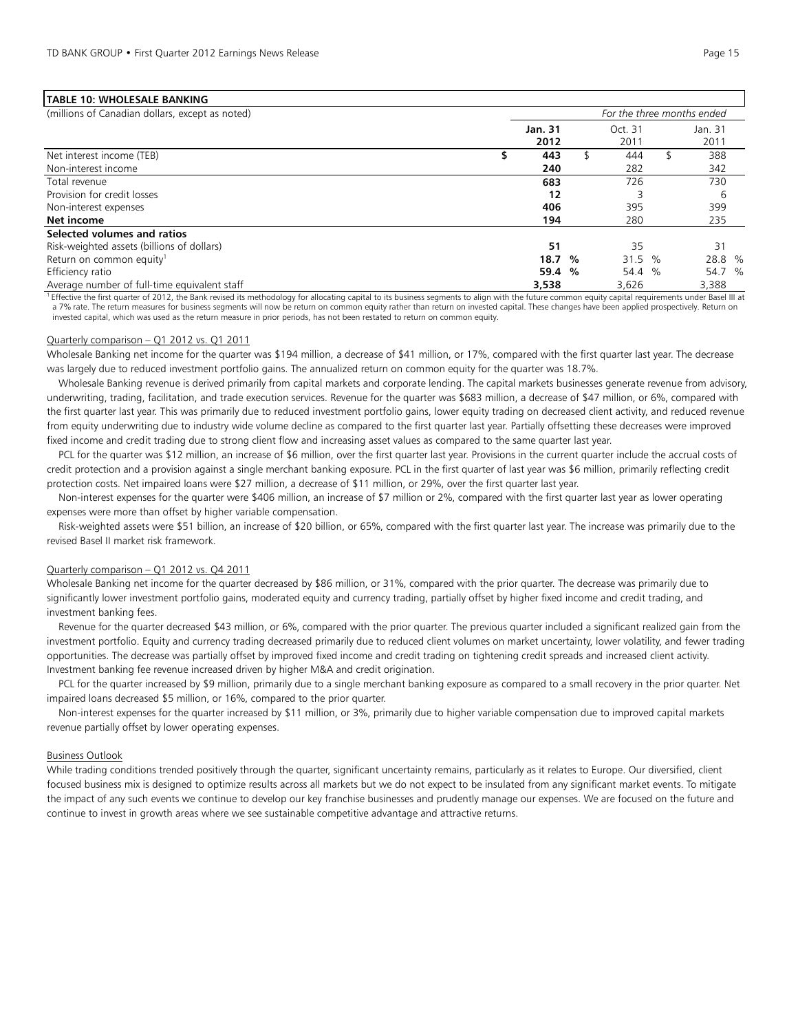| TABLE 10: WHOLESALE BANKING                     |                        |        |                 |      |                            |  |
|-------------------------------------------------|------------------------|--------|-----------------|------|----------------------------|--|
| (millions of Canadian dollars, except as noted) |                        |        |                 |      | For the three months ended |  |
|                                                 | <b>Jan. 31</b><br>2012 |        | Oct. 31<br>2011 |      | Jan. 31<br>2011            |  |
| Net interest income (TEB)                       | 443                    | S      | 444             |      | 388                        |  |
| Non-interest income                             | 240                    |        | 282             |      | 342                        |  |
| Total revenue                                   | 683                    |        | 726             |      | 730                        |  |
| Provision for credit losses                     | 12                     |        |                 |      | 6                          |  |
| Non-interest expenses                           | 406                    |        | 395             |      | 399                        |  |
| Net income                                      | 194                    |        | 280             |      | 235                        |  |
| Selected volumes and ratios                     |                        |        |                 |      |                            |  |
| Risk-weighted assets (billions of dollars)      | 51                     |        | 35              |      | 31                         |  |
| Return on common equity <sup>1</sup>            | 18.7                   | $\%$   | 31.5            | $\%$ | 28.8 %                     |  |
| Efficiency ratio                                |                        | 59.4 % | 54.4 %          |      | 54.7 %                     |  |
| Average number of full-time equivalent staff    | <b>3 238</b>           |        | 3.626           |      | 3 388                      |  |

3,388 3,388 3,626 Average number of full-time equivalent staff<br>Iffective the first quarter of 2012, the Bank revised its methodology for allocating capital to its business segments to align with the future common equity ca a 7% rate. The return measures for business segments will now be return on common equity rather than return on invested capital. These changes have been applied prospectively. Return on invested capital, which was used as the return measure in prior periods, has not been restated to return on common equity.

#### Quarterly comparison – Q1 2012 vs. Q1 2011

Wholesale Banking net income for the quarter was \$194 million, a decrease of \$41 million, or 17%, compared with the first quarter last year. The decrease was largely due to reduced investment portfolio gains. The annualized return on common equity for the quarter was 18.7%.

 Wholesale Banking revenue is derived primarily from capital markets and corporate lending. The capital markets businesses generate revenue from advisory, underwriting, trading, facilitation, and trade execution services. Revenue for the quarter was \$683 million, a decrease of \$47 million, or 6%, compared with the first quarter last year. This was primarily due to reduced investment portfolio gains, lower equity trading on decreased client activity, and reduced revenue from equity underwriting due to industry wide volume decline as compared to the first quarter last year. Partially offsetting these decreases were improved fixed income and credit trading due to strong client flow and increasing asset values as compared to the same quarter last year.

PCL for the quarter was \$12 million, an increase of \$6 million, over the first quarter last year. Provisions in the current quarter include the accrual costs of credit protection and a provision against a single merchant banking exposure. PCL in the first quarter of last year was \$6 million, primarily reflecting credit protection costs. Net impaired loans were \$27 million, a decrease of \$11 million, or 29%, over the first quarter last year.

 Non-interest expenses for the quarter were \$406 million, an increase of \$7 million or 2%, compared with the first quarter last year as lower operating expenses were more than offset by higher variable compensation.

 Risk-weighted assets were \$51 billion, an increase of \$20 billion, or 65%, compared with the first quarter last year. The increase was primarily due to the revised Basel II market risk framework.

#### Quarterly comparison – Q1 2012 vs. Q4 2011

Wholesale Banking net income for the quarter decreased by \$86 million, or 31%, compared with the prior quarter. The decrease was primarily due to significantly lower investment portfolio gains, moderated equity and currency trading, partially offset by higher fixed income and credit trading, and investment banking fees.

 Revenue for the quarter decreased \$43 million, or 6%, compared with the prior quarter. The previous quarter included a significant realized gain from the investment portfolio. Equity and currency trading decreased primarily due to reduced client volumes on market uncertainty, lower volatility, and fewer trading opportunities. The decrease was partially offset by improved fixed income and credit trading on tightening credit spreads and increased client activity. Investment banking fee revenue increased driven by higher M&A and credit origination.

PCL for the quarter increased by \$9 million, primarily due to a single merchant banking exposure as compared to a small recovery in the prior quarter. Net impaired loans decreased \$5 million, or 16%, compared to the prior quarter.

 Non-interest expenses for the quarter increased by \$11 million, or 3%, primarily due to higher variable compensation due to improved capital markets revenue partially offset by lower operating expenses.

#### Business Outlook

While trading conditions trended positively through the quarter, significant uncertainty remains, particularly as it relates to Europe. Our diversified, client focused business mix is designed to optimize results across all markets but we do not expect to be insulated from any significant market events. To mitigate the impact of any such events we continue to develop our key franchise businesses and prudently manage our expenses. We are focused on the future and continue to invest in growth areas where we see sustainable competitive advantage and attractive returns.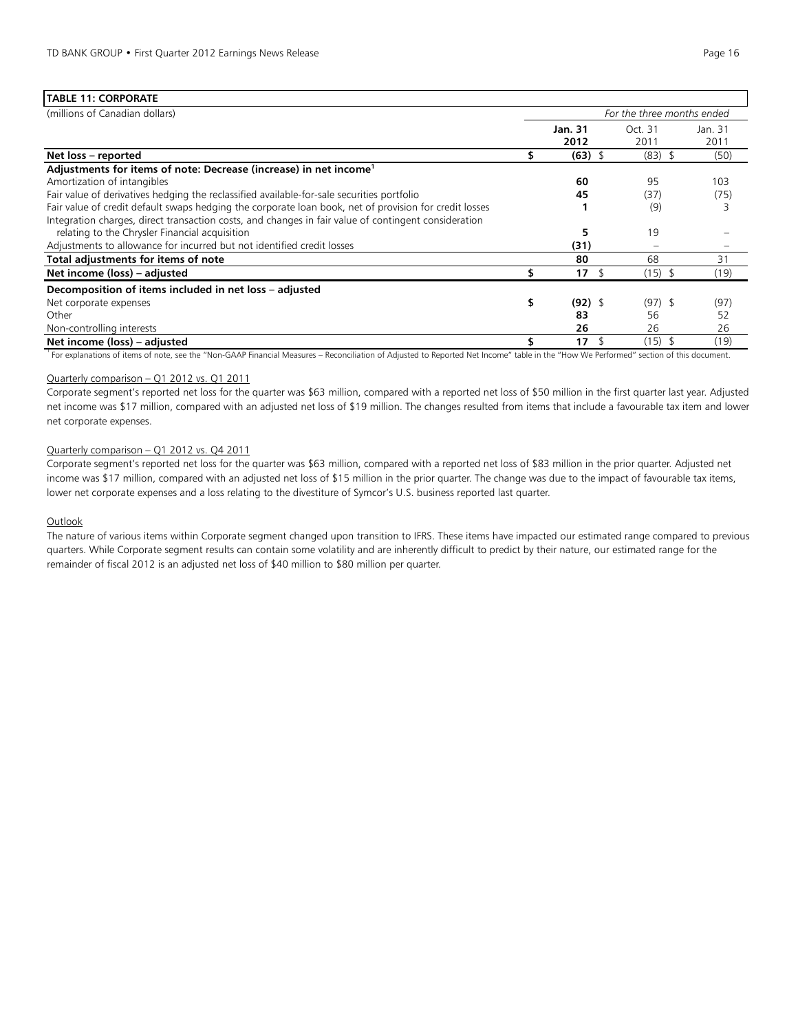| <b>TABLE 11: CORPORATE</b>                                                                             |                            |                |  |           |         |  |  |  |
|--------------------------------------------------------------------------------------------------------|----------------------------|----------------|--|-----------|---------|--|--|--|
| (millions of Canadian dollars)                                                                         | For the three months ended |                |  |           |         |  |  |  |
|                                                                                                        |                            | <b>Jan. 31</b> |  | Oct. 31   | Jan. 31 |  |  |  |
|                                                                                                        |                            | 2012           |  | 2011      | 2011    |  |  |  |
| Net loss - reported                                                                                    |                            | $(63)$ \$      |  | $(83)$ \$ | (50)    |  |  |  |
| Adjustments for items of note: Decrease (increase) in net income <sup>1</sup>                          |                            |                |  |           |         |  |  |  |
| Amortization of intangibles                                                                            |                            | 60             |  | 95        | 103     |  |  |  |
| Fair value of derivatives hedging the reclassified available-for-sale securities portfolio             |                            | 45             |  | (37)      | (75)    |  |  |  |
| Fair value of credit default swaps hedging the corporate loan book, net of provision for credit losses |                            |                |  | (9)       | 3       |  |  |  |
| Integration charges, direct transaction costs, and changes in fair value of contingent consideration   |                            |                |  |           |         |  |  |  |
| relating to the Chrysler Financial acquisition                                                         |                            | 5              |  | 19        |         |  |  |  |
| Adjustments to allowance for incurred but not identified credit losses                                 |                            | (31)           |  |           |         |  |  |  |
| Total adjustments for items of note                                                                    |                            | 80             |  | 68        | 31      |  |  |  |
| Net income (loss) – adjusted                                                                           |                            | 17             |  | $(15)$ \$ | (19)    |  |  |  |
| Decomposition of items included in net loss – adjusted                                                 |                            |                |  |           |         |  |  |  |
| Net corporate expenses                                                                                 | \$                         | $(92)$ \$      |  | $(97)$ \$ | (97)    |  |  |  |
| Other                                                                                                  |                            | 83             |  | 56        | 52      |  |  |  |
| Non-controlling interests                                                                              |                            | 26             |  | 26        | 26      |  |  |  |
| Net income (loss) – adjusted                                                                           |                            | 17             |  | $(15)$ \$ | (19)    |  |  |  |

1 For explanations of items of note, see the "Non-GAAP Financial Measures – Reconciliation of Adjusted to Reported Net Income" table in the "How We Performed" section of this document.

## Quarterly comparison – Q1 2012 vs. Q1 2011

Corporate segment's reported net loss for the quarter was \$63 million, compared with a reported net loss of \$50 million in the first quarter last year. Adjusted net income was \$17 million, compared with an adjusted net loss of \$19 million. The changes resulted from items that include a favourable tax item and lower net corporate expenses.

#### Quarterly comparison – Q1 2012 vs. Q4 2011

Corporate segment's reported net loss for the quarter was \$63 million, compared with a reported net loss of \$83 million in the prior quarter. Adjusted net income was \$17 million, compared with an adjusted net loss of \$15 million in the prior quarter. The change was due to the impact of favourable tax items, lower net corporate expenses and a loss relating to the divestiture of Symcor's U.S. business reported last quarter.

#### **Outlook**

The nature of various items within Corporate segment changed upon transition to IFRS. These items have impacted our estimated range compared to previous quarters. While Corporate segment results can contain some volatility and are inherently difficult to predict by their nature, our estimated range for the remainder of fiscal 2012 is an adjusted net loss of \$40 million to \$80 million per quarter.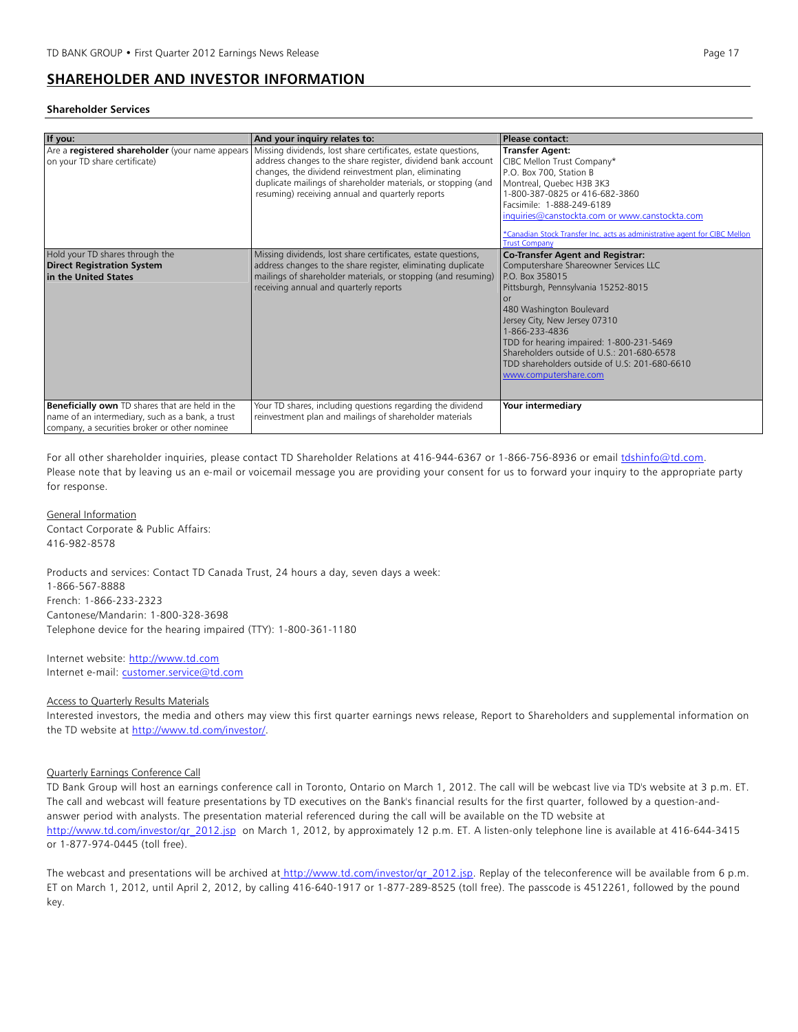# **SHAREHOLDER AND INVESTOR INFORMATION**

#### **Shareholder Services**

| If you:                                                                                                                                              | And your inquiry relates to:                                                                                                                                                                                                                                                                               | <b>Please contact:</b>                                                                                                                                                                                                                                                                                                                                                                              |
|------------------------------------------------------------------------------------------------------------------------------------------------------|------------------------------------------------------------------------------------------------------------------------------------------------------------------------------------------------------------------------------------------------------------------------------------------------------------|-----------------------------------------------------------------------------------------------------------------------------------------------------------------------------------------------------------------------------------------------------------------------------------------------------------------------------------------------------------------------------------------------------|
| Are a registered shareholder (your name appears<br>on your TD share certificate)                                                                     | Missing dividends, lost share certificates, estate questions,<br>address changes to the share register, dividend bank account<br>changes, the dividend reinvestment plan, eliminating<br>duplicate mailings of shareholder materials, or stopping (and<br>resuming) receiving annual and quarterly reports | <b>Transfer Agent:</b><br>CIBC Mellon Trust Company*<br>P.O. Box 700, Station B<br>Montreal, Quebec H3B 3K3<br>1-800-387-0825 or 416-682-3860<br>Facsimile: 1-888-249-6189<br>inquiries@canstockta.com or www.canstockta.com<br>*Canadian Stock Transfer Inc. acts as administrative agent for CIBC Mellon<br><b>Trust Company</b>                                                                  |
| Hold your TD shares through the<br><b>Direct Registration System</b><br>in the United States                                                         | Missing dividends, lost share certificates, estate questions,<br>address changes to the share register, eliminating duplicate<br>mailings of shareholder materials, or stopping (and resuming)<br>receiving annual and quarterly reports                                                                   | <b>Co-Transfer Agent and Registrar:</b><br>Computershare Shareowner Services LLC<br>P.O. Box 358015<br>Pittsburgh, Pennsylvania 15252-8015<br>or<br>480 Washington Boulevard<br>Jersey City, New Jersey 07310<br>1-866-233-4836<br>TDD for hearing impaired: 1-800-231-5469<br>Shareholders outside of U.S.: 201-680-6578<br>TDD shareholders outside of U.S: 201-680-6610<br>www.computershare.com |
| Beneficially own TD shares that are held in the<br>name of an intermediary, such as a bank, a trust<br>company, a securities broker or other nominee | Your TD shares, including questions regarding the dividend<br>reinvestment plan and mailings of shareholder materials                                                                                                                                                                                      | Your intermediary                                                                                                                                                                                                                                                                                                                                                                                   |

For all other shareholder inquiries, please contact TD Shareholder Relations at 416-944-6367 or 1-866-756-8936 or email tdshinfo@td.com. Please note that by leaving us an e-mail or voicemail message you are providing your consent for us to forward your inquiry to the appropriate party for response.

#### General Information

Contact Corporate & Public Affairs: 416-982-8578

Products and services: Contact TD Canada Trust, 24 hours a day, seven days a week: 1-866-567-8888 French: 1-866-233-2323 Cantonese/Mandarin: 1-800-328-3698 Telephone device for the hearing impaired (TTY): 1-800-361-1180

Internet website: http://www.td.com Internet e-mail: customer.service@td.com

#### Access to Quarterly Results Materials

Interested investors, the media and others may view this first quarter earnings news release, Report to Shareholders and supplemental information on the TD website at http://www.td.com/investor/.

#### Quarterly Earnings Conference Call

TD Bank Group will host an earnings conference call in Toronto, Ontario on March 1, 2012. The call will be webcast live via TD's website at 3 p.m. ET. The call and webcast will feature presentations by TD executives on the Bank's financial results for the first quarter, followed by a question-andanswer period with analysts. The presentation material referenced during the call will be available on the TD website at http://www.td.com/investor/qr\_2012.jsp on March 1, 2012, by approximately 12 p.m. ET. A listen-only telephone line is available at 416-644-3415 or 1-877-974-0445 (toll free).

The webcast and presentations will be archived at http://www.td.com/investor/qr\_2012.jsp. Replay of the teleconference will be available from 6 p.m. ET on March 1, 2012, until April 2, 2012, by calling 416-640-1917 or 1-877-289-8525 (toll free). The passcode is 4512261, followed by the pound key.